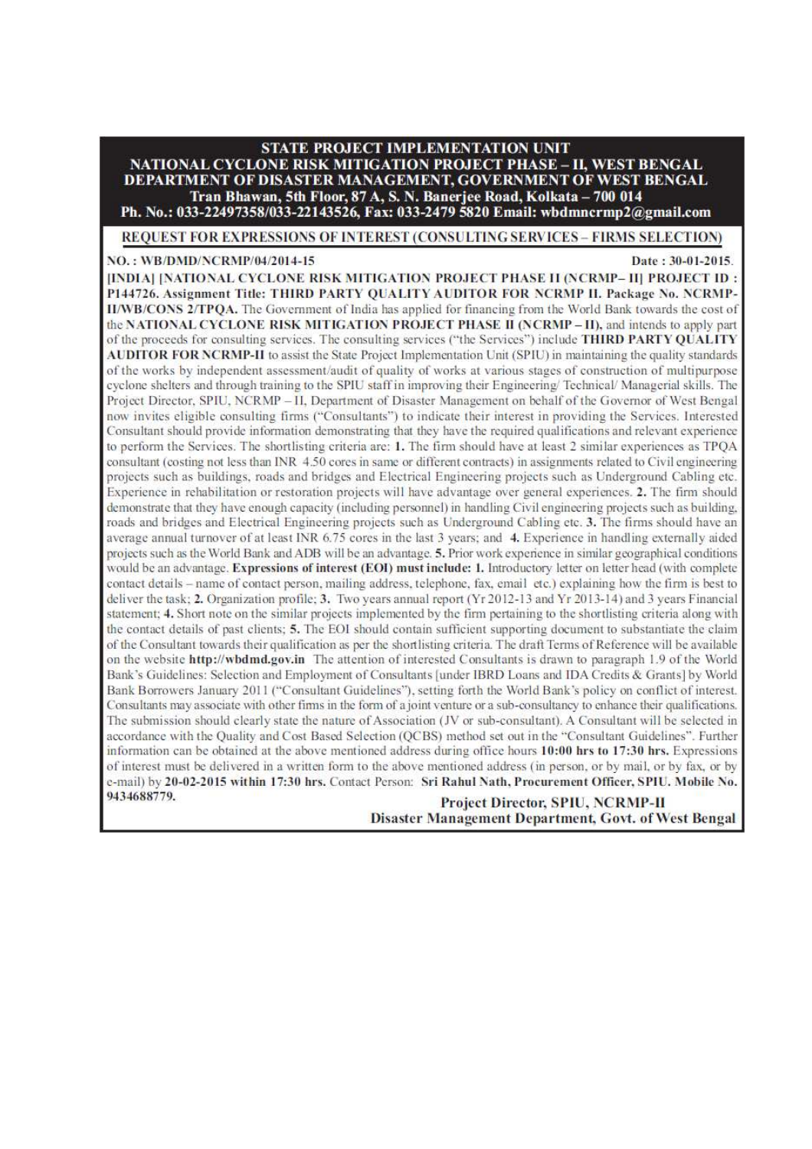# **STATE PROJECT IMPLEMENTATION UNIT**

**NATIONAL CYCLONE RISK MITIGATION PROJECT PHASE - II. WEST BENGAL** DEPARTMENT OF DISASTER MANAGEMENT, GOVERNMENT OF WEST BENGAL Tran Bhawan, 5th Floor, 87 A, S. N. Banerjee Road, Kolkata - 700 014

Ph. No.: 033-22497358/033-22143526, Fax: 033-2479 5820 Email: wbdmncrmp2@gmail.com

REQUEST FOR EXPRESSIONS OF INTEREST (CONSULTING SERVICES - FIRMS SELECTION)

NO.: WB/DMD/NCRMP/04/2014-15

#### Date: 30-01-2015.

[INDIA] [NATIONAL CYCLONE RISK MITIGATION PROJECT PHASE II (NCRMP- II) PROJECT ID : P144726. Assignment Title: THIRD PARTY OUALITY AUDITOR FOR NCRMP II. Package No. NCRMP-II/WB/CONS 2/TPOA. The Government of India has applied for financing from the World Bank towards the cost of the NATIONAL CYCLONE RISK MITIGATION PROJECT PHASE II (NCRMP - II), and intends to apply part of the proceeds for consulting services. The consulting services ("the Services") include THIRD PARTY QUALITY AUDITOR FOR NCRMP-II to assist the State Project Implementation Unit (SPIU) in maintaining the quality standards of the works by independent assessment/audit of quality of works at various stages of construction of multipurpose cyclone shelters and through training to the SPIU staff in improving their Engineering/Technical/Managerial skills. The Project Director, SPIU, NCRMP - II, Department of Disaster Management on behalf of the Governor of West Bengal now invites eligible consulting firms ("Consultants") to indicate their interest in providing the Services. Interested Consultant should provide information demonstrating that they have the required qualifications and relevant experience to perform the Services. The shortlisting criteria are: 1. The firm should have at least 2 similar experiences as TPQA consultant (costing not less than INR 4.50 cores in same or different contracts) in assignments related to Civil engineering projects such as buildings, roads and bridges and Electrical Engineering projects such as Underground Cabling etc. Experience in rehabilitation or restoration projects will have advantage over general experiences. 2. The firm should demonstrate that they have enough capacity (including personnel) in handling Civil engineering projects such as building, roads and bridges and Electrical Engineering projects such as Underground Cabling etc. 3. The firms should have an average annual turnover of at least INR 6.75 cores in the last 3 years; and 4. Experience in handling externally aided projects such as the World Bank and ADB will be an advantage. 5, Prior work experience in similar geographical conditions would be an advantage. Expressions of interest (EOI) must include: 1. Introductory letter on letter head (with complete contact details - name of contact person, mailing address, telephone, fax, email etc.) explaining how the firm is best to deliver the task: 2. Organization profile: 3. Two years annual report (Yr 2012-13 and Yr 2013-14) and 3 years Financial statement; 4. Short note on the similar projects implemented by the firm pertaining to the shortlisting criteria along with the contact details of past clients; 5. The EOI should contain sufficient supporting document to substantiate the claim of the Consultant towards their qualification as per the shortlisting criteria. The draft Terms of Reference will be available on the website http://wbdmd.gov.in The attention of interested Consultants is drawn to paragraph 1.9 of the World Bank's Guidelines: Selection and Employment of Consultants (under IBRD Loans and IDA Credits & Grants) by World Bank Borrowers January 2011 ("Consultant Guidelines"), setting forth the World Bank's policy on conflict of interest. Consultants may associate with other firms in the form of a joint venture or a sub-consultancy to enhance their qualifications. The submission should clearly state the nature of Association (JV or sub-consultant). A Consultant will be selected in accordance with the Quality and Cost Based Selection (OCBS) method set out in the "Consultant Guidelines". Further information can be obtained at the above mentioned address during office hours  $10:00$  hrs to  $17:30$  hrs. Expressions of interest must be delivered in a written form to the above mentioned address (in person, or by mail, or by fax, or by e-mail) by 20-02-2015 within 17:30 hrs. Contact Person: Sri Rahul Nath, Procurement Officer, SPIU. Mobile No. 9434688779.

#### **Project Director, SPIU, NCRMP-II Disaster Management Department, Govt. of West Bengal**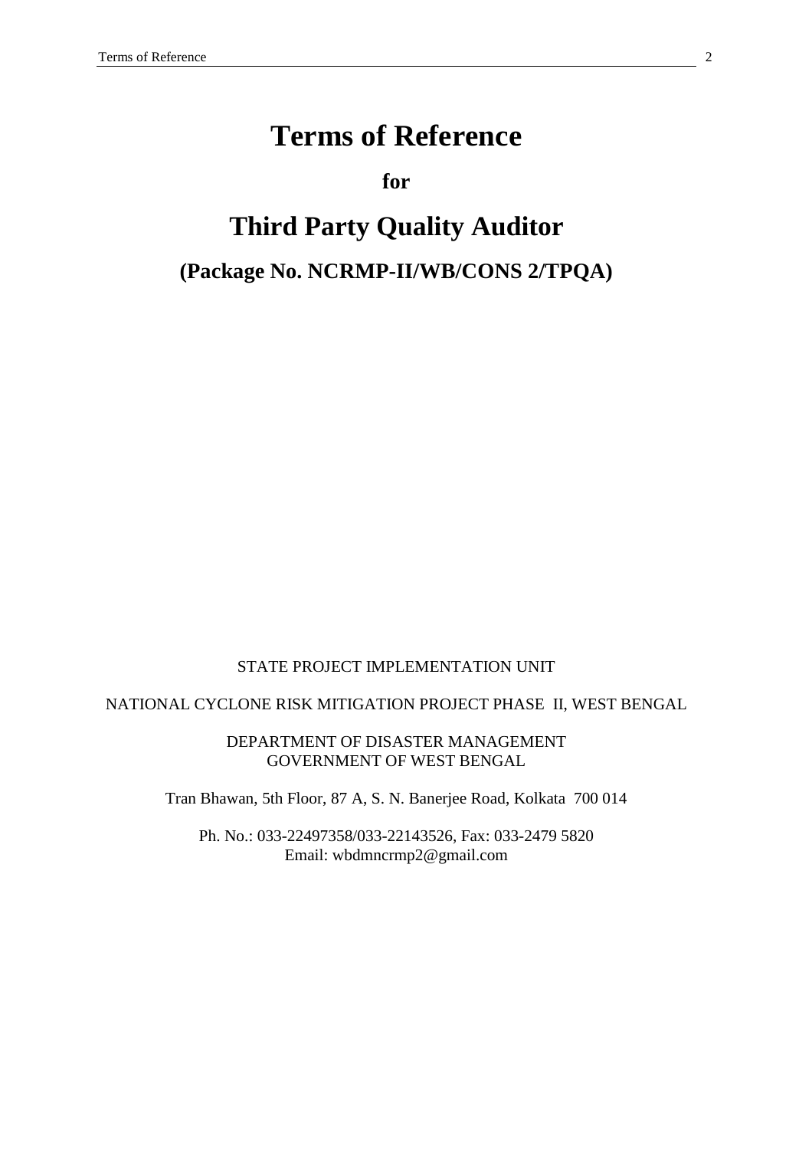# **Terms of Reference**

**for** 

# **Third Party Quality Auditor**

# **(Package No. NCRMP-II/WB/CONS 2/TPQA)**

STATE PROJECT IMPLEMENTATION UNIT

NATIONAL CYCLONE RISK MITIGATION PROJECT PHASE II, WEST BENGAL

DEPARTMENT OF DISASTER MANAGEMENT GOVERNMENT OF WEST BENGAL

Tran Bhawan, 5th Floor, 87 A, S. N. Banerjee Road, Kolkata 700 014

Ph. No.: 033-22497358/033-22143526, Fax: 033-2479 5820 Email: wbdmncrmp2@gmail.com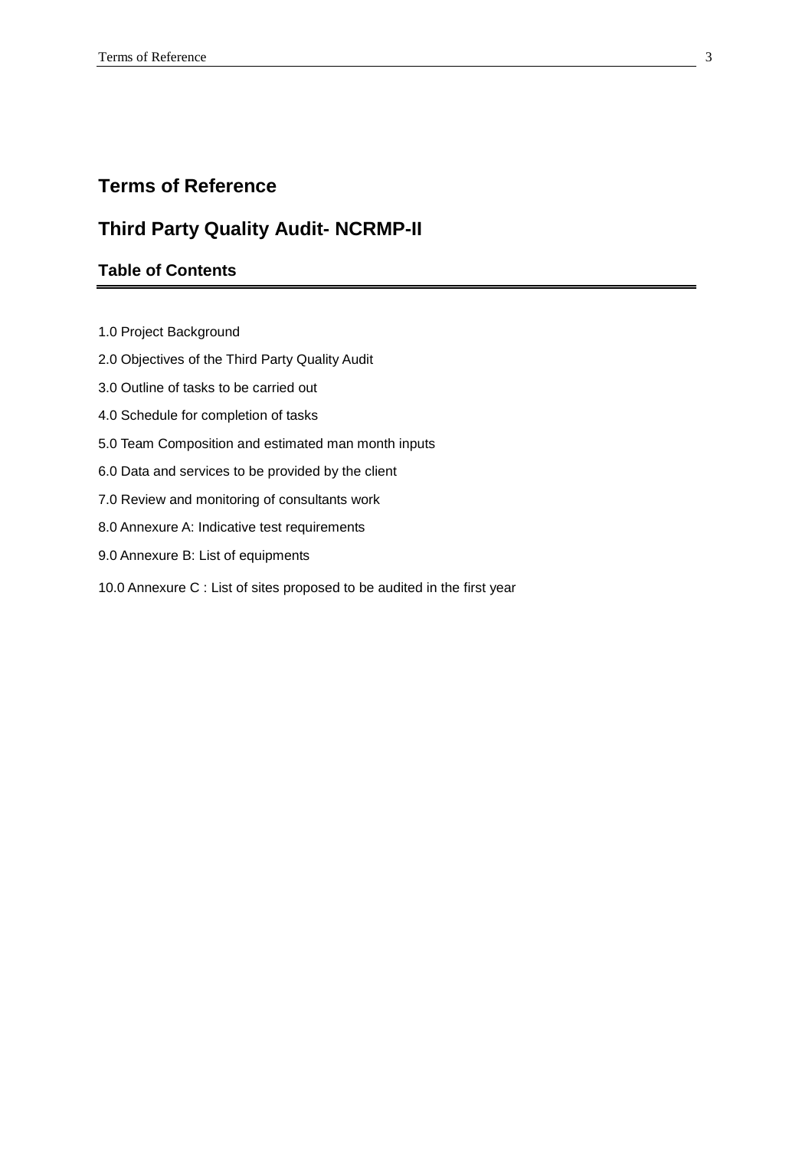# **Terms of Reference**

# **Third Party Quality Audit- NCRMP-II**

# **Table of Contents**

- 1.0 Project Background
- 2.0 Objectives of the Third Party Quality Audit
- 3.0 Outline of tasks to be carried out
- 4.0 Schedule for completion of tasks
- 5.0 Team Composition and estimated man month inputs
- 6.0 Data and services to be provided by the client
- 7.0 Review and monitoring of consultants work
- 8.0 Annexure A: Indicative test requirements
- 9.0 Annexure B: List of equipments
- 10.0 Annexure C : List of sites proposed to be audited in the first year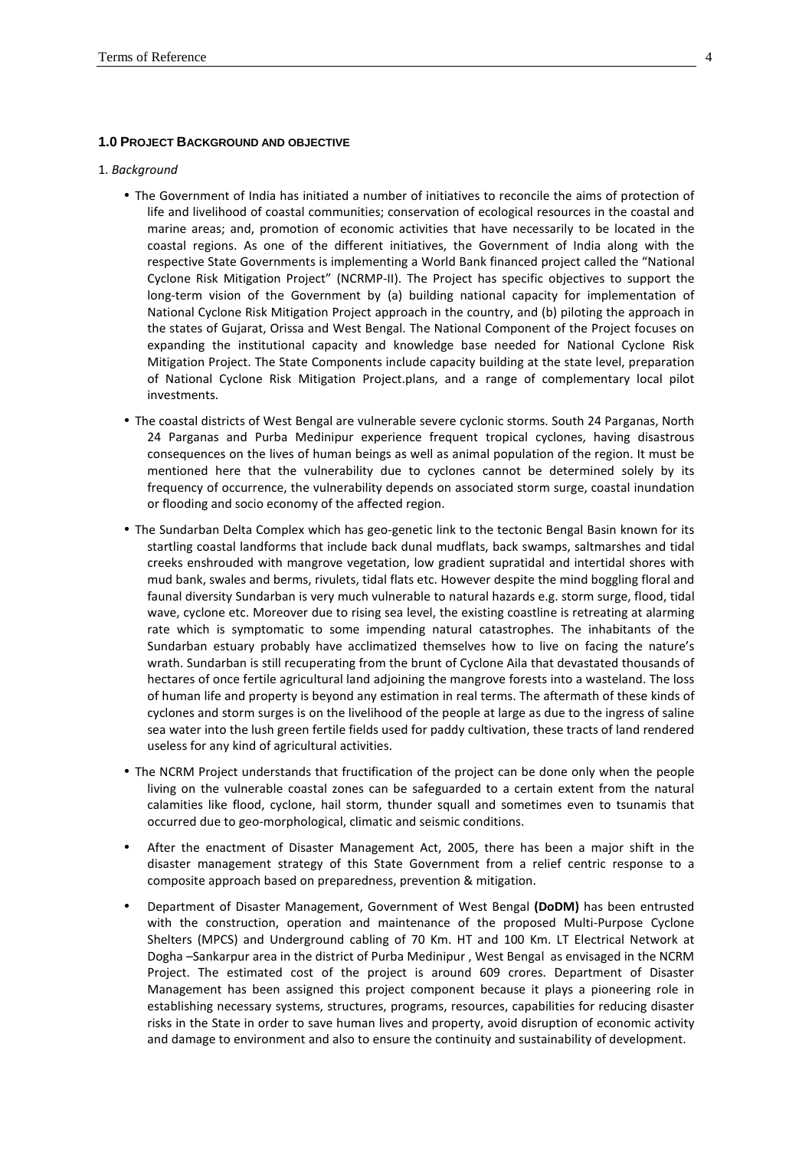#### **1.0 PROJECT BACKGROUND AND OBJECTIVE**

#### 1. *Background*

- The Government of India has initiated a number of initiatives to reconcile the aims of protection of life and livelihood of coastal communities; conservation of ecological resources in the coastal and marine areas; and, promotion of economic activities that have necessarily to be located in the coastal regions. As one of the different initiatives, the Government of India along with the respective State Governments is implementing a World Bank financed project called the "National Cyclone Risk Mitigation Project" (NCRMP-II). The Project has specific objectives to support the long-term vision of the Government by (a) building national capacity for implementation of National Cyclone Risk Mitigation Project approach in the country, and (b) piloting the approach in the states of Gujarat, Orissa and West Bengal. The National Component of the Project focuses on expanding the institutional capacity and knowledge base needed for National Cyclone Risk Mitigation Project. The State Components include capacity building at the state level, preparation of National Cyclone Risk Mitigation Project.plans, and a range of complementary local pilot investments.
- The coastal districts of West Bengal are vulnerable severe cyclonic storms. South 24 Parganas, North 24 Parganas and Purba Medinipur experience frequent tropical cyclones, having disastrous consequences on the lives of human beings as well as animal population of the region. It must be mentioned here that the vulnerability due to cyclones cannot be determined solely by its frequency of occurrence, the vulnerability depends on associated storm surge, coastal inundation or flooding and socio economy of the affected region.
- The Sundarban Delta Complex which has geo-genetic link to the tectonic Bengal Basin known for its startling coastal landforms that include back dunal mudflats, back swamps, saltmarshes and tidal creeks enshrouded with mangrove vegetation, low gradient supratidal and intertidal shores with mud bank, swales and berms, rivulets, tidal flats etc. However despite the mind boggling floral and faunal diversity Sundarban is very much vulnerable to natural hazards e.g. storm surge, flood, tidal wave, cyclone etc. Moreover due to rising sea level, the existing coastline is retreating at alarming rate which is symptomatic to some impending natural catastrophes. The inhabitants of the Sundarban estuary probably have acclimatized themselves how to live on facing the nature's wrath. Sundarban is still recuperating from the brunt of Cyclone Aila that devastated thousands of hectares of once fertile agricultural land adjoining the mangrove forests into a wasteland. The loss of human life and property is beyond any estimation in real terms. The aftermath of these kinds of cyclones and storm surges is on the livelihood of the people at large as due to the ingress of saline sea water into the lush green fertile fields used for paddy cultivation, these tracts of land rendered useless for any kind of agricultural activities.
- The NCRM Project understands that fructification of the project can be done only when the people living on the vulnerable coastal zones can be safeguarded to a certain extent from the natural calamities like flood, cyclone, hail storm, thunder squall and sometimes even to tsunamis that occurred due to geo-morphological, climatic and seismic conditions.
- After the enactment of Disaster Management Act, 2005, there has been a major shift in the disaster management strategy of this State Government from a relief centric response to a composite approach based on preparedness, prevention & mitigation.
- Department of Disaster Management, Government of West Bengal **(DoDM)** has been entrusted with the construction, operation and maintenance of the proposed Multi-Purpose Cyclone Shelters (MPCS) and Underground cabling of 70 Km. HT and 100 Km. LT Electrical Network at Dogha –Sankarpur area in the district of Purba Medinipur , West Bengal as envisaged in the NCRM Project. The estimated cost of the project is around 609 crores. Department of Disaster Management has been assigned this project component because it plays a pioneering role in establishing necessary systems, structures, programs, resources, capabilities for reducing disaster risks in the State in order to save human lives and property, avoid disruption of economic activity and damage to environment and also to ensure the continuity and sustainability of development.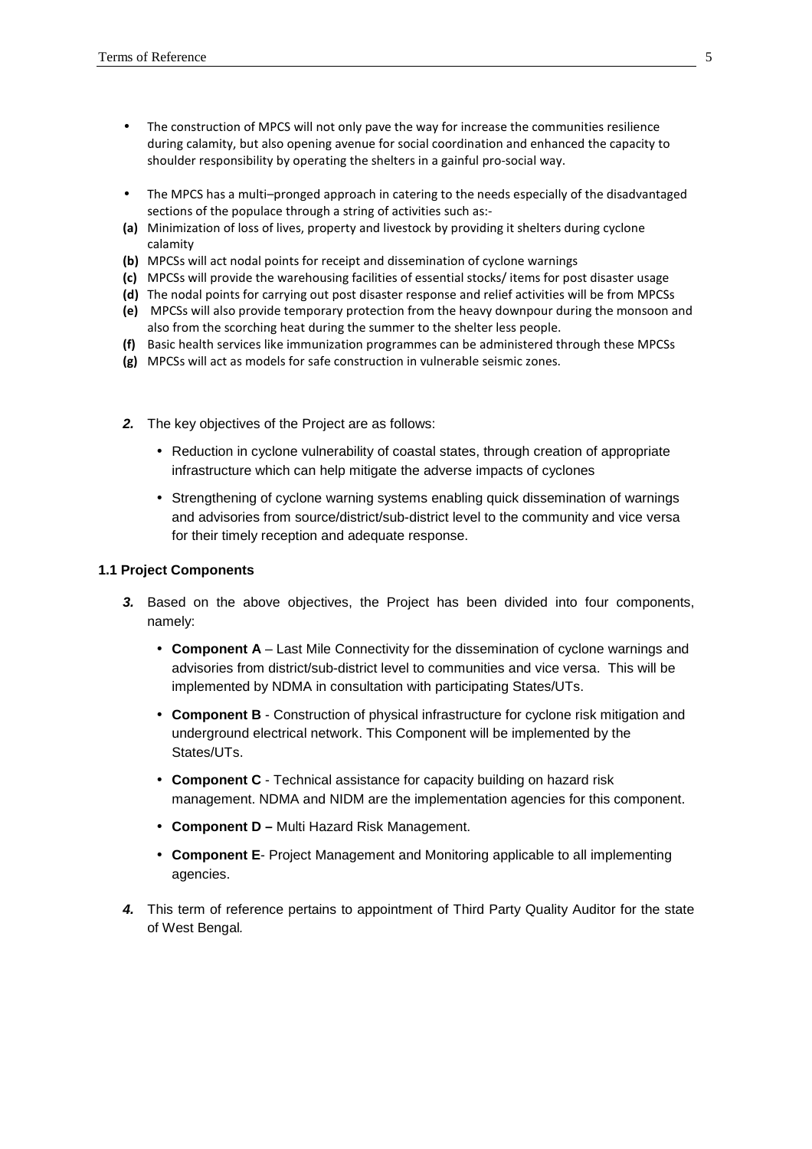- The construction of MPCS will not only pave the way for increase the communities resilience during calamity, but also opening avenue for social coordination and enhanced the capacity to shoulder responsibility by operating the shelters in a gainful pro-social way.
- The MPCS has a multi–pronged approach in catering to the needs especially of the disadvantaged sections of the populace through a string of activities such as:-
- **(a)** Minimization of loss of lives, property and livestock by providing it shelters during cyclone calamity
- **(b)** MPCSs will act nodal points for receipt and dissemination of cyclone warnings
- **(c)** MPCSs will provide the warehousing facilities of essential stocks/ items for post disaster usage
- **(d)** The nodal points for carrying out post disaster response and relief activities will be from MPCSs
- **(e)** MPCSs will also provide temporary protection from the heavy downpour during the monsoon and also from the scorching heat during the summer to the shelter less people.
- **(f)** Basic health services like immunization programmes can be administered through these MPCSs
- **(g)** MPCSs will act as models for safe construction in vulnerable seismic zones.
- **2.** The key objectives of the Project are as follows:
	- Reduction in cyclone vulnerability of coastal states, through creation of appropriate infrastructure which can help mitigate the adverse impacts of cyclones
	- Strengthening of cyclone warning systems enabling quick dissemination of warnings and advisories from source/district/sub-district level to the community and vice versa for their timely reception and adequate response.

#### **1.1 Project Components**

- **3.** Based on the above objectives, the Project has been divided into four components, namely:
	- **Component A** Last Mile Connectivity for the dissemination of cyclone warnings and advisories from district/sub-district level to communities and vice versa. This will be implemented by NDMA in consultation with participating States/UTs.
	- **Component B** Construction of physical infrastructure for cyclone risk mitigation and underground electrical network. This Component will be implemented by the States/UTs.
	- **Component C** Technical assistance for capacity building on hazard risk management. NDMA and NIDM are the implementation agencies for this component.
	- **Component D** Multi Hazard Risk Management.
	- **Component E** Project Management and Monitoring applicable to all implementing agencies.
- **4.** This term of reference pertains to appointment of Third Party Quality Auditor for the state of West Bengal.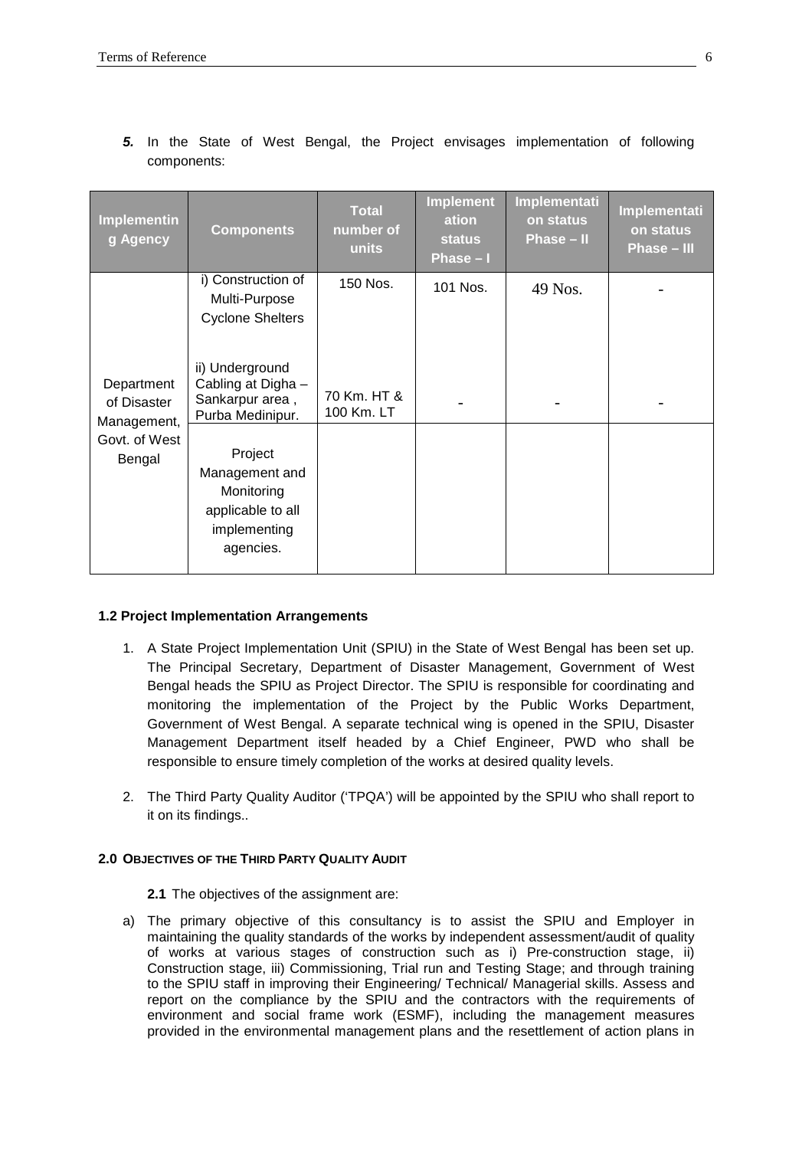|  | <b>Implementin</b><br>g Agency                                      | <b>Components</b>                                                                         | <b>Total</b><br>number of<br>units | <b>Implement</b><br>ation<br><b>status</b><br>Phase-I | Implementati<br>on status<br>Phase - II | Implementati<br>on status<br>Phase - III |
|--|---------------------------------------------------------------------|-------------------------------------------------------------------------------------------|------------------------------------|-------------------------------------------------------|-----------------------------------------|------------------------------------------|
|  |                                                                     | i) Construction of<br>Multi-Purpose<br><b>Cyclone Shelters</b>                            | 150 Nos.                           | 101 Nos.                                              | 49 Nos.                                 |                                          |
|  | Department<br>of Disaster<br>Management,<br>Govt. of West<br>Bengal | ii) Underground<br>Cabling at Digha -<br>Sankarpur area,<br>Purba Medinipur.              | 70 Km. HT &<br>100 Km. LT          |                                                       |                                         |                                          |
|  |                                                                     | Project<br>Management and<br>Monitoring<br>applicable to all<br>implementing<br>agencies. |                                    |                                                       |                                         |                                          |

**5.** In the State of West Bengal, the Project envisages implementation of following components:

# **1.2 Project Implementation Arrangements**

- 1. A State Project Implementation Unit (SPIU) in the State of West Bengal has been set up. The Principal Secretary, Department of Disaster Management, Government of West Bengal heads the SPIU as Project Director. The SPIU is responsible for coordinating and monitoring the implementation of the Project by the Public Works Department, Government of West Bengal. A separate technical wing is opened in the SPIU, Disaster Management Department itself headed by a Chief Engineer, PWD who shall be responsible to ensure timely completion of the works at desired quality levels.
- 2. The Third Party Quality Auditor ('TPQA') will be appointed by the SPIU who shall report to it on its findings..

### **2.0 OBJECTIVES OF THE THIRD PARTY QUALITY AUDIT**

**2.1** The objectives of the assignment are:

a) The primary objective of this consultancy is to assist the SPIU and Employer in maintaining the quality standards of the works by independent assessment/audit of quality of works at various stages of construction such as i) Pre-construction stage, ii) Construction stage, iii) Commissioning, Trial run and Testing Stage; and through training to the SPIU staff in improving their Engineering/ Technical/ Managerial skills. Assess and report on the compliance by the SPIU and the contractors with the requirements of environment and social frame work (ESMF), including the management measures provided in the environmental management plans and the resettlement of action plans in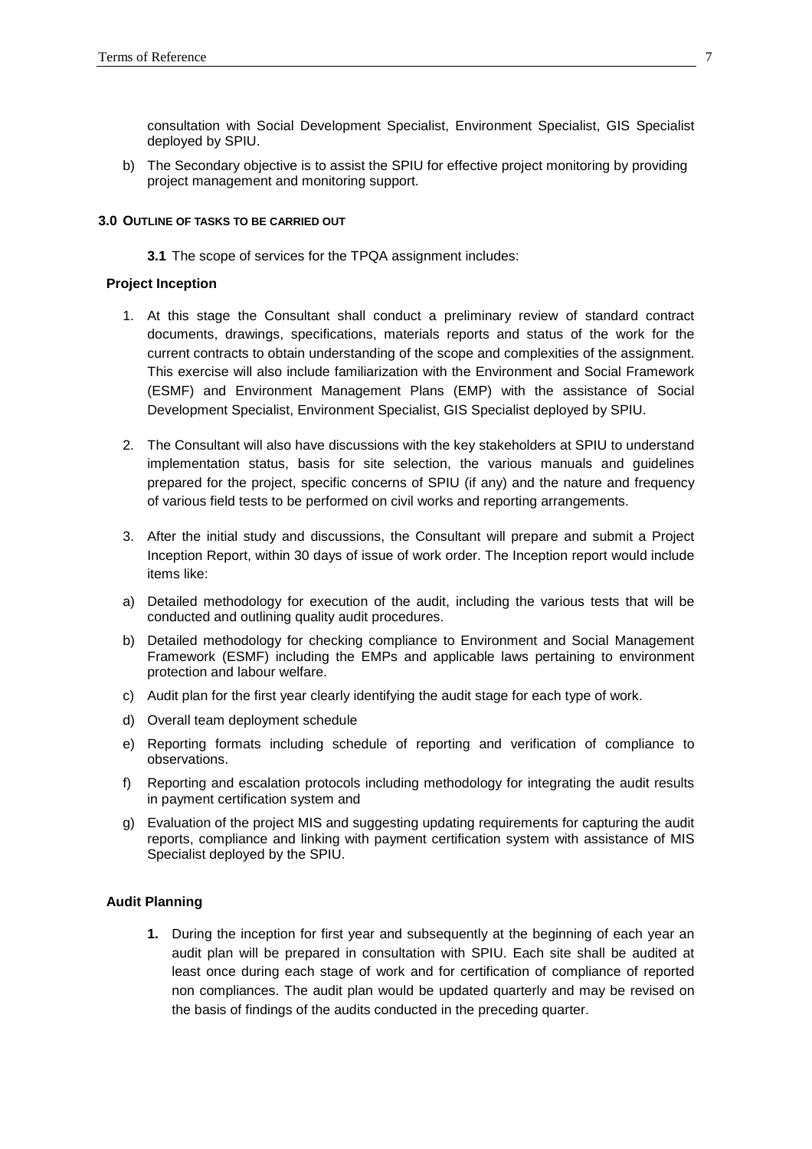consultation with Social Development Specialist, Environment Specialist, GIS Specialist deployed by SPIU.

b) The Secondary objective is to assist the SPIU for effective project monitoring by providing project management and monitoring support.

#### **3.0 OUTLINE OF TASKS TO BE CARRIED OUT**

**3.1** The scope of services for the TPQA assignment includes:

#### **Project Inception**

- 1. At this stage the Consultant shall conduct a preliminary review of standard contract documents, drawings, specifications, materials reports and status of the work for the current contracts to obtain understanding of the scope and complexities of the assignment. This exercise will also include familiarization with the Environment and Social Framework (ESMF) and Environment Management Plans (EMP) with the assistance of Social Development Specialist, Environment Specialist, GIS Specialist deployed by SPIU.
- 2. The Consultant will also have discussions with the key stakeholders at SPIU to understand implementation status, basis for site selection, the various manuals and guidelines prepared for the project, specific concerns of SPIU (if any) and the nature and frequency of various field tests to be performed on civil works and reporting arrangements.
- 3. After the initial study and discussions, the Consultant will prepare and submit a Project Inception Report, within 30 days of issue of work order. The Inception report would include items like:
- a) Detailed methodology for execution of the audit, including the various tests that will be conducted and outlining quality audit procedures.
- b) Detailed methodology for checking compliance to Environment and Social Management Framework (ESMF) including the EMPs and applicable laws pertaining to environment protection and labour welfare.
- c) Audit plan for the first year clearly identifying the audit stage for each type of work.
- d) Overall team deployment schedule
- e) Reporting formats including schedule of reporting and verification of compliance to observations.
- f) Reporting and escalation protocols including methodology for integrating the audit results in payment certification system and
- g) Evaluation of the project MIS and suggesting updating requirements for capturing the audit reports, compliance and linking with payment certification system with assistance of MIS Specialist deployed by the SPIU.

#### **Audit Planning**

**1.** During the inception for first year and subsequently at the beginning of each year an audit plan will be prepared in consultation with SPIU. Each site shall be audited at least once during each stage of work and for certification of compliance of reported non compliances. The audit plan would be updated quarterly and may be revised on the basis of findings of the audits conducted in the preceding quarter.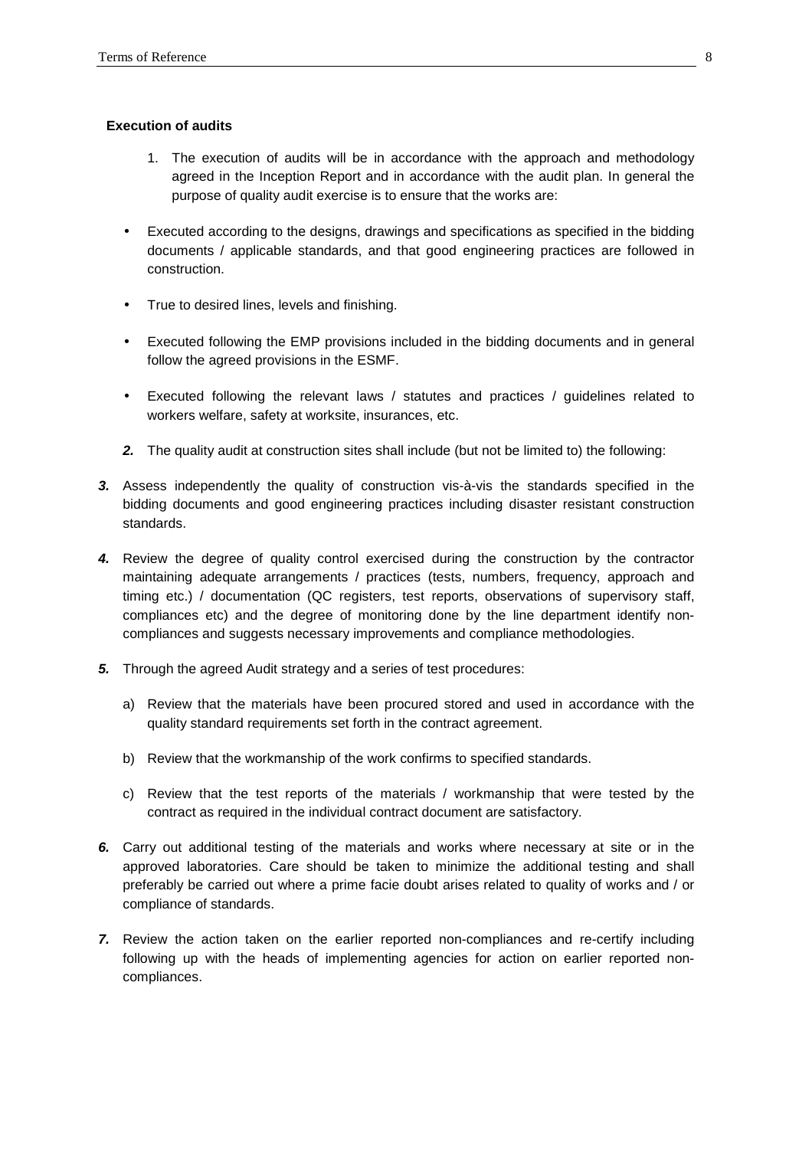#### **Execution of audits**

- 1. The execution of audits will be in accordance with the approach and methodology agreed in the Inception Report and in accordance with the audit plan. In general the purpose of quality audit exercise is to ensure that the works are:
- Executed according to the designs, drawings and specifications as specified in the bidding documents / applicable standards, and that good engineering practices are followed in construction.
- True to desired lines, levels and finishing.
- Executed following the EMP provisions included in the bidding documents and in general follow the agreed provisions in the ESMF.
- Executed following the relevant laws / statutes and practices / guidelines related to workers welfare, safety at worksite, insurances, etc.
- **2.** The quality audit at construction sites shall include (but not be limited to) the following:
- **3.** Assess independently the quality of construction vis-à-vis the standards specified in the bidding documents and good engineering practices including disaster resistant construction standards.
- **4.** Review the degree of quality control exercised during the construction by the contractor maintaining adequate arrangements / practices (tests, numbers, frequency, approach and timing etc.) / documentation (QC registers, test reports, observations of supervisory staff, compliances etc) and the degree of monitoring done by the line department identify noncompliances and suggests necessary improvements and compliance methodologies.
- **5.** Through the agreed Audit strategy and a series of test procedures:
	- a) Review that the materials have been procured stored and used in accordance with the quality standard requirements set forth in the contract agreement.
	- b) Review that the workmanship of the work confirms to specified standards.
	- c) Review that the test reports of the materials / workmanship that were tested by the contract as required in the individual contract document are satisfactory.
- **6.** Carry out additional testing of the materials and works where necessary at site or in the approved laboratories. Care should be taken to minimize the additional testing and shall preferably be carried out where a prime facie doubt arises related to quality of works and / or compliance of standards.
- **7.** Review the action taken on the earlier reported non-compliances and re-certify including following up with the heads of implementing agencies for action on earlier reported noncompliances.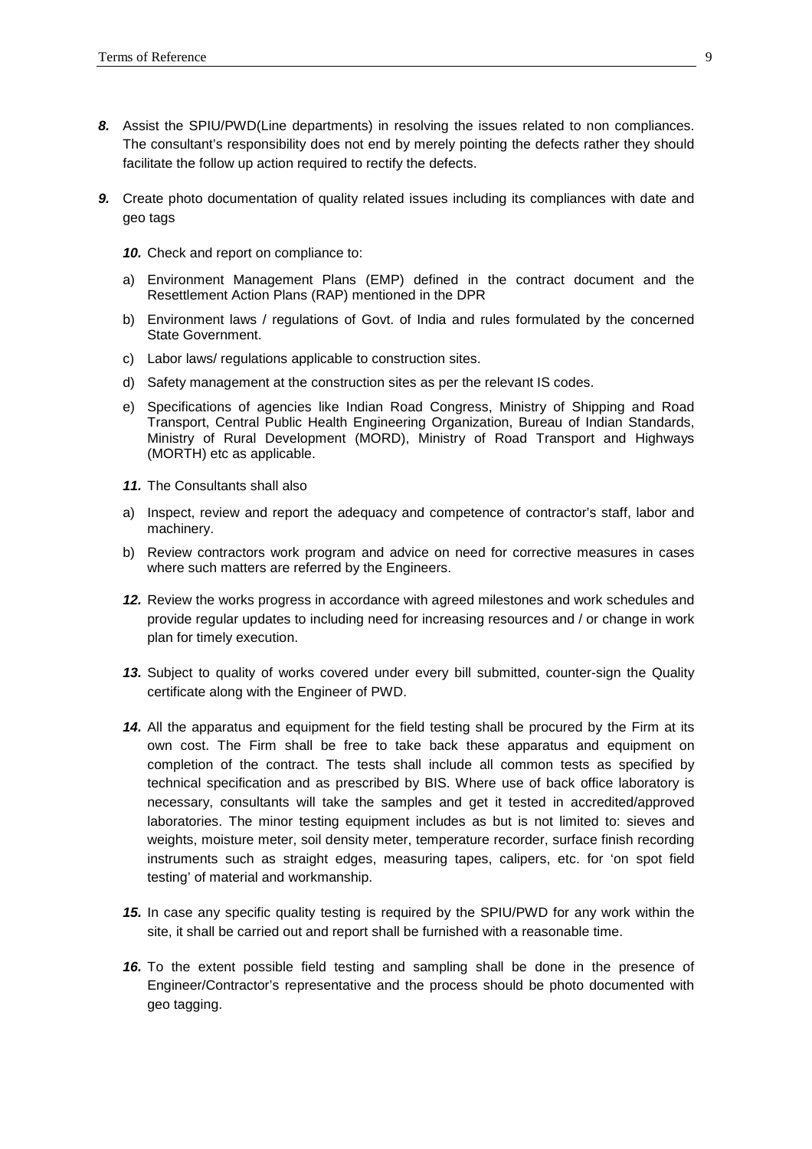- **8.** Assist the SPIU/PWD(Line departments) in resolving the issues related to non compliances. The consultant's responsibility does not end by merely pointing the defects rather they should facilitate the follow up action required to rectify the defects.
- **9.** Create photo documentation of quality related issues including its compliances with date and geo tags
	- **10.** Check and report on compliance to:
	- a) Environment Management Plans (EMP) defined in the contract document and the Resettlement Action Plans (RAP) mentioned in the DPR
	- b) Environment laws / regulations of Govt. of India and rules formulated by the concerned State Government.
	- c) Labor laws/ regulations applicable to construction sites.
	- d) Safety management at the construction sites as per the relevant IS codes.
	- e) Specifications of agencies like Indian Road Congress, Ministry of Shipping and Road Transport, Central Public Health Engineering Organization, Bureau of Indian Standards, Ministry of Rural Development (MORD), Ministry of Road Transport and Highways (MORTH) etc as applicable.
	- **11.** The Consultants shall also
	- a) Inspect, review and report the adequacy and competence of contractor's staff, labor and machinery.
	- b) Review contractors work program and advice on need for corrective measures in cases where such matters are referred by the Engineers.
	- **12.** Review the works progress in accordance with agreed milestones and work schedules and provide regular updates to including need for increasing resources and / or change in work plan for timely execution.
	- **13.** Subject to quality of works covered under every bill submitted, counter-sign the Quality certificate along with the Engineer of PWD.
	- **14.** All the apparatus and equipment for the field testing shall be procured by the Firm at its own cost. The Firm shall be free to take back these apparatus and equipment on completion of the contract. The tests shall include all common tests as specified by technical specification and as prescribed by BIS. Where use of back office laboratory is necessary, consultants will take the samples and get it tested in accredited/approved laboratories. The minor testing equipment includes as but is not limited to: sieves and weights, moisture meter, soil density meter, temperature recorder, surface finish recording instruments such as straight edges, measuring tapes, calipers, etc. for 'on spot field testing' of material and workmanship.
	- **15.** In case any specific quality testing is required by the SPIU/PWD for any work within the site, it shall be carried out and report shall be furnished with a reasonable time.
	- **16.** To the extent possible field testing and sampling shall be done in the presence of Engineer/Contractor's representative and the process should be photo documented with geo tagging.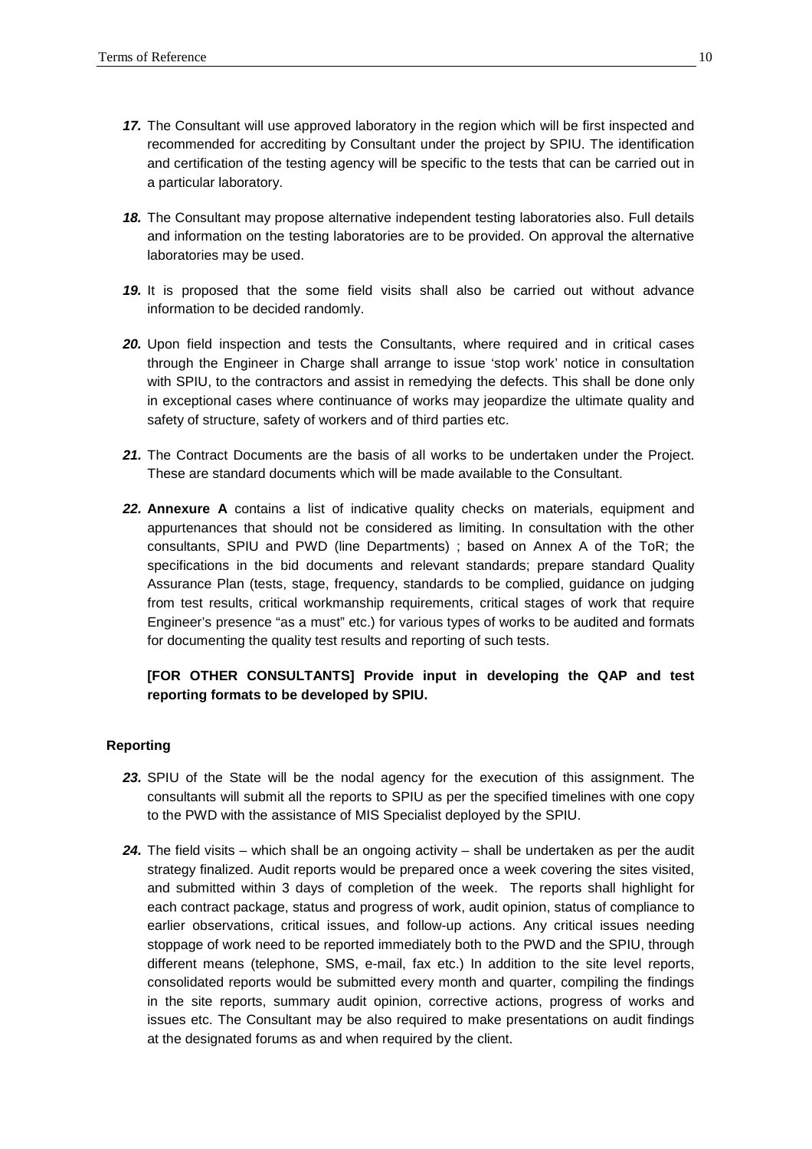- **17.** The Consultant will use approved laboratory in the region which will be first inspected and recommended for accrediting by Consultant under the project by SPIU. The identification and certification of the testing agency will be specific to the tests that can be carried out in a particular laboratory.
- **18.** The Consultant may propose alternative independent testing laboratories also. Full details and information on the testing laboratories are to be provided. On approval the alternative laboratories may be used.
- **19.** It is proposed that the some field visits shall also be carried out without advance information to be decided randomly.
- **20.** Upon field inspection and tests the Consultants, where required and in critical cases through the Engineer in Charge shall arrange to issue 'stop work' notice in consultation with SPIU, to the contractors and assist in remedying the defects. This shall be done only in exceptional cases where continuance of works may jeopardize the ultimate quality and safety of structure, safety of workers and of third parties etc.
- **21.** The Contract Documents are the basis of all works to be undertaken under the Project. These are standard documents which will be made available to the Consultant.
- **22. Annexure A** contains a list of indicative quality checks on materials, equipment and appurtenances that should not be considered as limiting. In consultation with the other consultants, SPIU and PWD (line Departments) ; based on Annex A of the ToR; the specifications in the bid documents and relevant standards; prepare standard Quality Assurance Plan (tests, stage, frequency, standards to be complied, guidance on judging from test results, critical workmanship requirements, critical stages of work that require Engineer's presence "as a must" etc.) for various types of works to be audited and formats for documenting the quality test results and reporting of such tests.

# **[FOR OTHER CONSULTANTS] Provide input in developing the QAP and test reporting formats to be developed by SPIU.**

#### **Reporting**

- **23.** SPIU of the State will be the nodal agency for the execution of this assignment. The consultants will submit all the reports to SPIU as per the specified timelines with one copy to the PWD with the assistance of MIS Specialist deployed by the SPIU.
- **24.** The field visits which shall be an ongoing activity shall be undertaken as per the audit strategy finalized. Audit reports would be prepared once a week covering the sites visited, and submitted within 3 days of completion of the week. The reports shall highlight for each contract package, status and progress of work, audit opinion, status of compliance to earlier observations, critical issues, and follow-up actions. Any critical issues needing stoppage of work need to be reported immediately both to the PWD and the SPIU, through different means (telephone, SMS, e-mail, fax etc.) In addition to the site level reports, consolidated reports would be submitted every month and quarter, compiling the findings in the site reports, summary audit opinion, corrective actions, progress of works and issues etc. The Consultant may be also required to make presentations on audit findings at the designated forums as and when required by the client.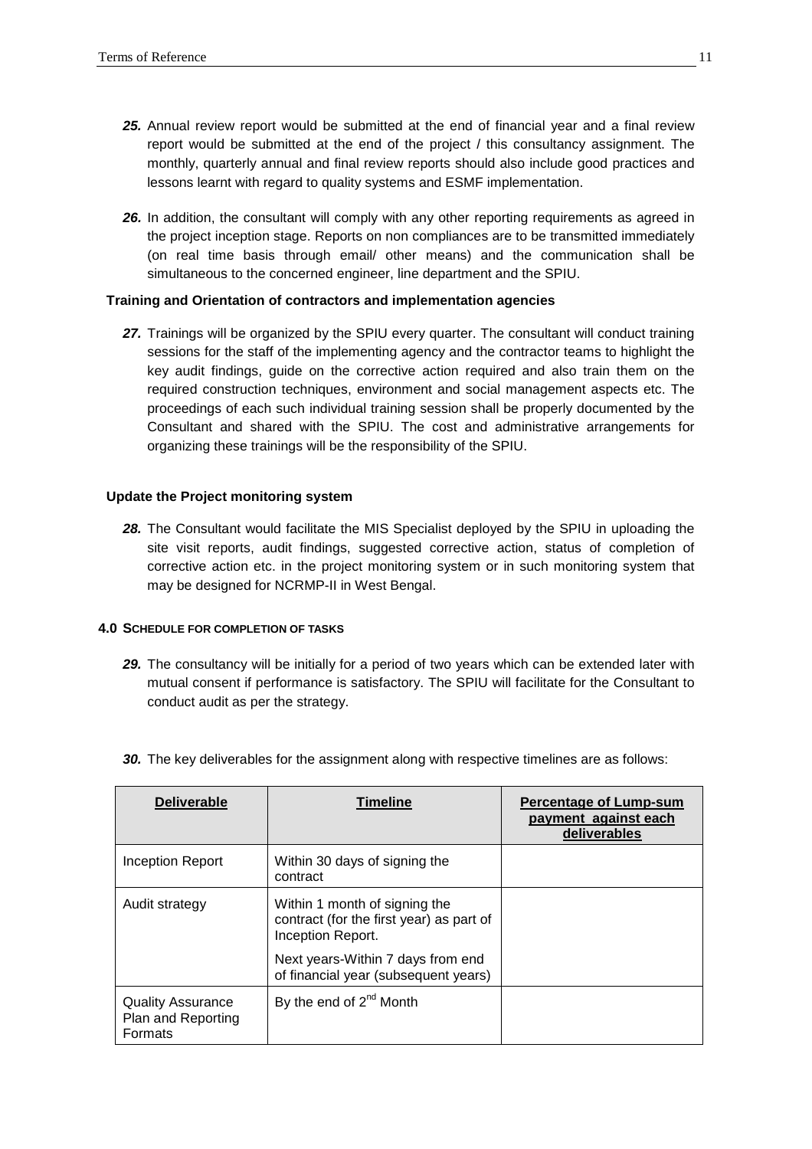- **25.** Annual review report would be submitted at the end of financial year and a final review report would be submitted at the end of the project / this consultancy assignment. The monthly, quarterly annual and final review reports should also include good practices and lessons learnt with regard to quality systems and ESMF implementation.
- **26.** In addition, the consultant will comply with any other reporting requirements as agreed in the project inception stage. Reports on non compliances are to be transmitted immediately (on real time basis through email/ other means) and the communication shall be simultaneous to the concerned engineer, line department and the SPIU.

#### **Training and Orientation of contractors and implementation agencies**

**27.** Trainings will be organized by the SPIU every quarter. The consultant will conduct training sessions for the staff of the implementing agency and the contractor teams to highlight the key audit findings, guide on the corrective action required and also train them on the required construction techniques, environment and social management aspects etc. The proceedings of each such individual training session shall be properly documented by the Consultant and shared with the SPIU. The cost and administrative arrangements for organizing these trainings will be the responsibility of the SPIU.

#### **Update the Project monitoring system**

**28.** The Consultant would facilitate the MIS Specialist deployed by the SPIU in uploading the site visit reports, audit findings, suggested corrective action, status of completion of corrective action etc. in the project monitoring system or in such monitoring system that may be designed for NCRMP-II in West Bengal.

#### **4.0 SCHEDULE FOR COMPLETION OF TASKS**

**29.** The consultancy will be initially for a period of two years which can be extended later with mutual consent if performance is satisfactory. The SPIU will facilitate for the Consultant to conduct audit as per the strategy.

| <b>Deliverable</b>                                                                                               | <b>Timeline</b>                                                           | Percentage of Lump-sum<br>payment against each<br>deliverables |
|------------------------------------------------------------------------------------------------------------------|---------------------------------------------------------------------------|----------------------------------------------------------------|
| Inception Report                                                                                                 | Within 30 days of signing the<br>contract                                 |                                                                |
| Within 1 month of signing the<br>Audit strategy<br>contract (for the first year) as part of<br>Inception Report. |                                                                           |                                                                |
|                                                                                                                  | Next years-Within 7 days from end<br>of financial year (subsequent years) |                                                                |
| <b>Quality Assurance</b><br>Plan and Reporting<br><b>Formats</b>                                                 | By the end of $2^{nd}$ Month                                              |                                                                |

**30.** The key deliverables for the assignment along with respective timelines are as follows: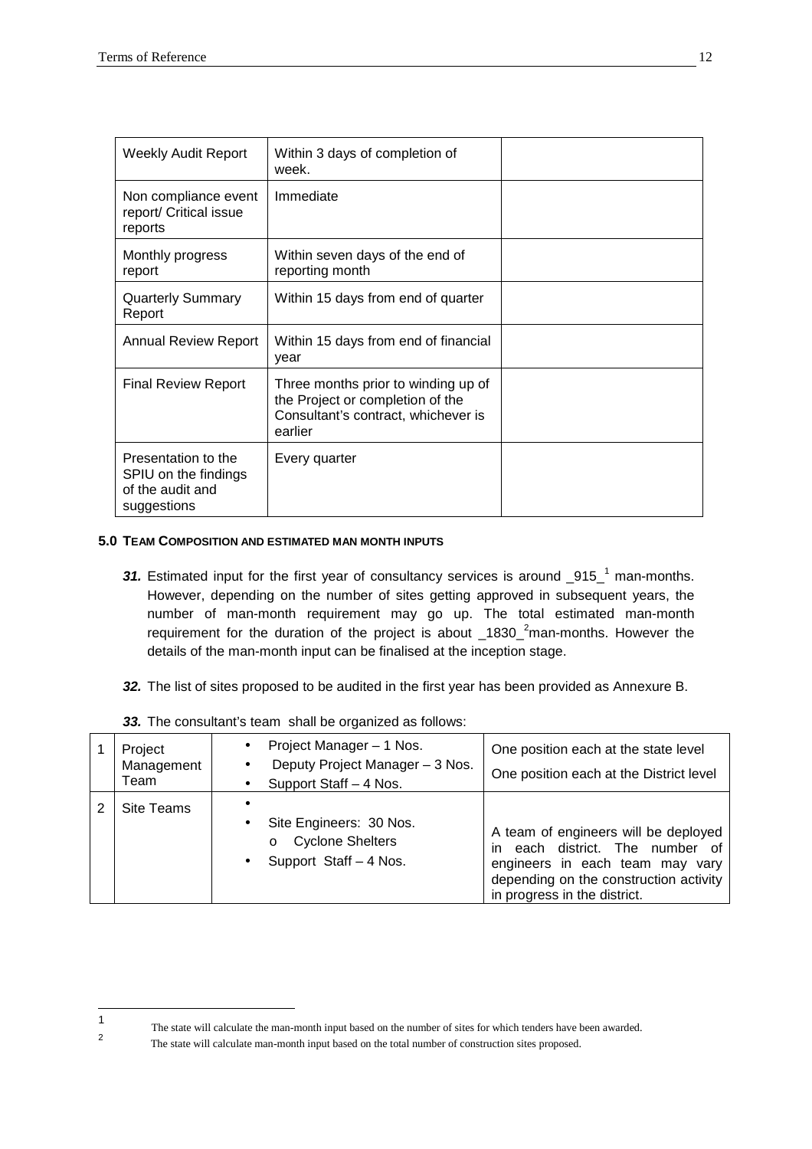$\frac{1}{1}$ 

2

| <b>Weekly Audit Report</b>                                                     | Within 3 days of completion of<br>week.                                                                                   |  |
|--------------------------------------------------------------------------------|---------------------------------------------------------------------------------------------------------------------------|--|
| Non compliance event<br>report/ Critical issue<br>reports                      | Immediate                                                                                                                 |  |
| Monthly progress<br>report                                                     | Within seven days of the end of<br>reporting month                                                                        |  |
| <b>Quarterly Summary</b><br>Report                                             | Within 15 days from end of quarter                                                                                        |  |
| Annual Review Report                                                           | Within 15 days from end of financial<br>vear                                                                              |  |
| <b>Final Review Report</b>                                                     | Three months prior to winding up of<br>the Project or completion of the<br>Consultant's contract, whichever is<br>earlier |  |
| Presentation to the<br>SPIU on the findings<br>of the audit and<br>suggestions | Every quarter                                                                                                             |  |

# **5.0 TEAM COMPOSITION AND ESTIMATED MAN MONTH INPUTS**

- **31.** Estimated input for the first year of consultancy services is around \_915\_<sup>1</sup> man-months. However, depending on the number of sites getting approved in subsequent years, the number of man-month requirement may go up. The total estimated man-month requirement for the duration of the project is about  $1830<sup>2</sup>$ man-months. However the details of the man-month input can be finalised at the inception stage.
- **32.** The list of sites proposed to be audited in the first year has been provided as Annexure B.

| Project<br>Management<br>Team | Project Manager - 1 Nos.<br>$\bullet$<br>Deputy Project Manager - 3 Nos.<br>$\bullet$<br>Support Staff - 4 Nos. | One position each at the state level<br>One position each at the District level                                                                                                         |
|-------------------------------|-----------------------------------------------------------------------------------------------------------------|-----------------------------------------------------------------------------------------------------------------------------------------------------------------------------------------|
| Site Teams                    | Site Engineers: 30 Nos.<br>٠<br><b>Cyclone Shelters</b><br>$\circ$<br>Support Staff - 4 Nos.<br>$\bullet$       | A team of engineers will be deployed<br>each district. The number of<br>in<br>engineers in each team may vary<br>depending on the construction activity<br>in progress in the district. |

**33.** The consultant's team shall be organized as follows:

The state will calculate the man-month input based on the number of sites for which tenders have been awarded.

The state will calculate man-month input based on the total number of construction sites proposed.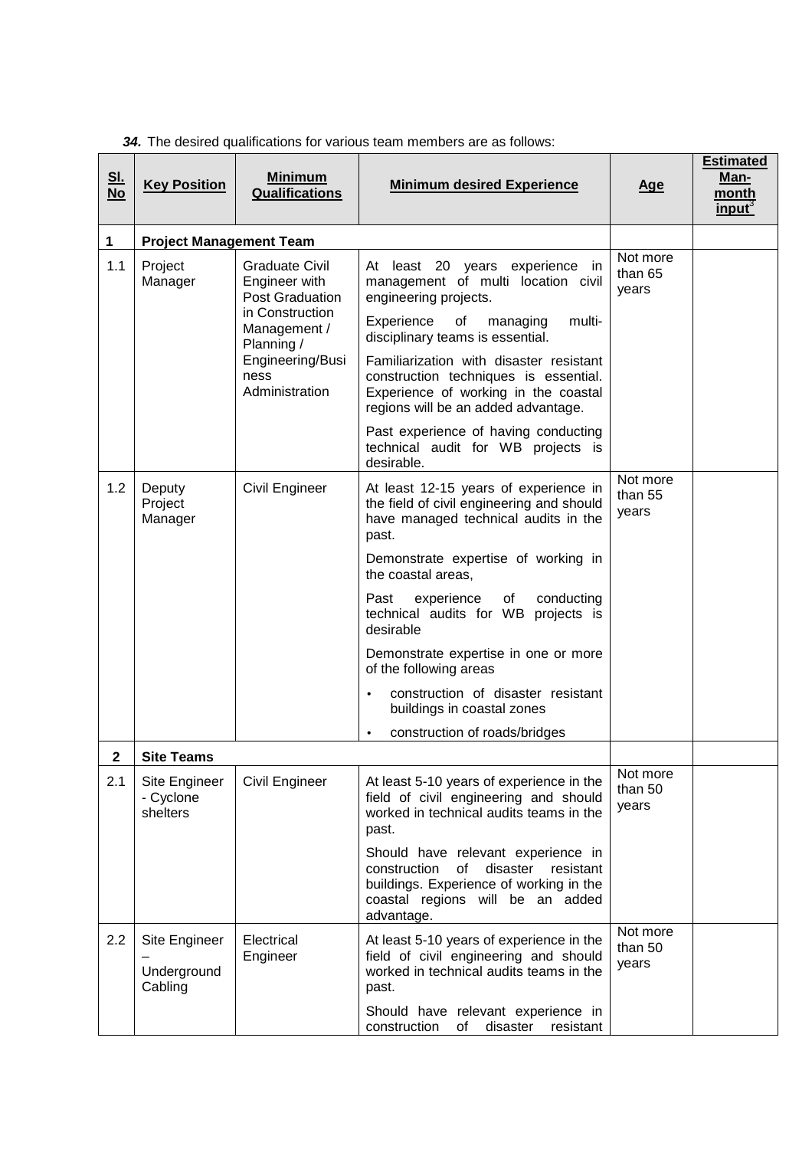| <u>SI.</u><br><b>No</b> | <b>Key Position</b>                     | <b>Minimum</b><br><b>Qualifications</b>                                                                                                                         | <b>Minimum desired Experience</b>                                                                                                                                                                                                                                                                                                                                                       | <u>Age</u>                   | <b>Estimated</b><br>Man-<br>month<br>input <sup>3</sup> |
|-------------------------|-----------------------------------------|-----------------------------------------------------------------------------------------------------------------------------------------------------------------|-----------------------------------------------------------------------------------------------------------------------------------------------------------------------------------------------------------------------------------------------------------------------------------------------------------------------------------------------------------------------------------------|------------------------------|---------------------------------------------------------|
| 1                       | <b>Project Management Team</b>          |                                                                                                                                                                 |                                                                                                                                                                                                                                                                                                                                                                                         |                              |                                                         |
| 1.1                     | Project<br>Manager                      | <b>Graduate Civil</b><br>Engineer with<br><b>Post Graduation</b><br>in Construction<br>Management /<br>Planning /<br>Engineering/Busi<br>ness<br>Administration | At least 20 years experience in<br>management of multi location civil<br>engineering projects.<br>Experience<br>multi-<br>of<br>managing<br>disciplinary teams is essential.<br>Familiarization with disaster resistant<br>construction techniques is essential.<br>Experience of working in the coastal<br>regions will be an added advantage.<br>Past experience of having conducting | Not more<br>than 65<br>years |                                                         |
|                         |                                         |                                                                                                                                                                 | technical audit for WB projects is<br>desirable.                                                                                                                                                                                                                                                                                                                                        |                              |                                                         |
| 1.2                     | Deputy<br>Project<br>Manager            | Civil Engineer                                                                                                                                                  | At least 12-15 years of experience in<br>the field of civil engineering and should<br>have managed technical audits in the<br>past.                                                                                                                                                                                                                                                     | Not more<br>than 55<br>years |                                                         |
|                         |                                         |                                                                                                                                                                 | Demonstrate expertise of working in<br>the coastal areas,                                                                                                                                                                                                                                                                                                                               |                              |                                                         |
|                         |                                         |                                                                                                                                                                 | of<br>Past<br>experience<br>conducting<br>technical audits for WB projects is<br>desirable                                                                                                                                                                                                                                                                                              |                              |                                                         |
|                         |                                         |                                                                                                                                                                 | Demonstrate expertise in one or more<br>of the following areas                                                                                                                                                                                                                                                                                                                          |                              |                                                         |
|                         |                                         |                                                                                                                                                                 | construction of disaster resistant<br>$\bullet$<br>buildings in coastal zones                                                                                                                                                                                                                                                                                                           |                              |                                                         |
|                         |                                         |                                                                                                                                                                 | construction of roads/bridges<br>$\bullet$                                                                                                                                                                                                                                                                                                                                              |                              |                                                         |
| 2                       | <b>Site Teams</b>                       |                                                                                                                                                                 |                                                                                                                                                                                                                                                                                                                                                                                         |                              |                                                         |
| 2.1                     | Site Engineer<br>- Cyclone<br>shelters  | Civil Engineer                                                                                                                                                  | At least 5-10 years of experience in the<br>field of civil engineering and should<br>worked in technical audits teams in the<br>past.                                                                                                                                                                                                                                                   | Not more<br>than 50<br>years |                                                         |
|                         |                                         |                                                                                                                                                                 | Should have relevant experience in<br>of<br>disaster<br>construction<br>resistant<br>buildings. Experience of working in the<br>coastal regions will be an added<br>advantage.                                                                                                                                                                                                          |                              |                                                         |
| 2.2                     | Site Engineer<br>Underground<br>Cabling | Electrical<br>Engineer                                                                                                                                          | At least 5-10 years of experience in the<br>field of civil engineering and should<br>worked in technical audits teams in the<br>past.                                                                                                                                                                                                                                                   | Not more<br>than 50<br>years |                                                         |
|                         |                                         |                                                                                                                                                                 | Should have relevant experience in<br>construction<br>disaster<br>of<br>resistant                                                                                                                                                                                                                                                                                                       |                              |                                                         |

| 34. The desired qualifications for various team members are as follows: |  |  |  |
|-------------------------------------------------------------------------|--|--|--|
|-------------------------------------------------------------------------|--|--|--|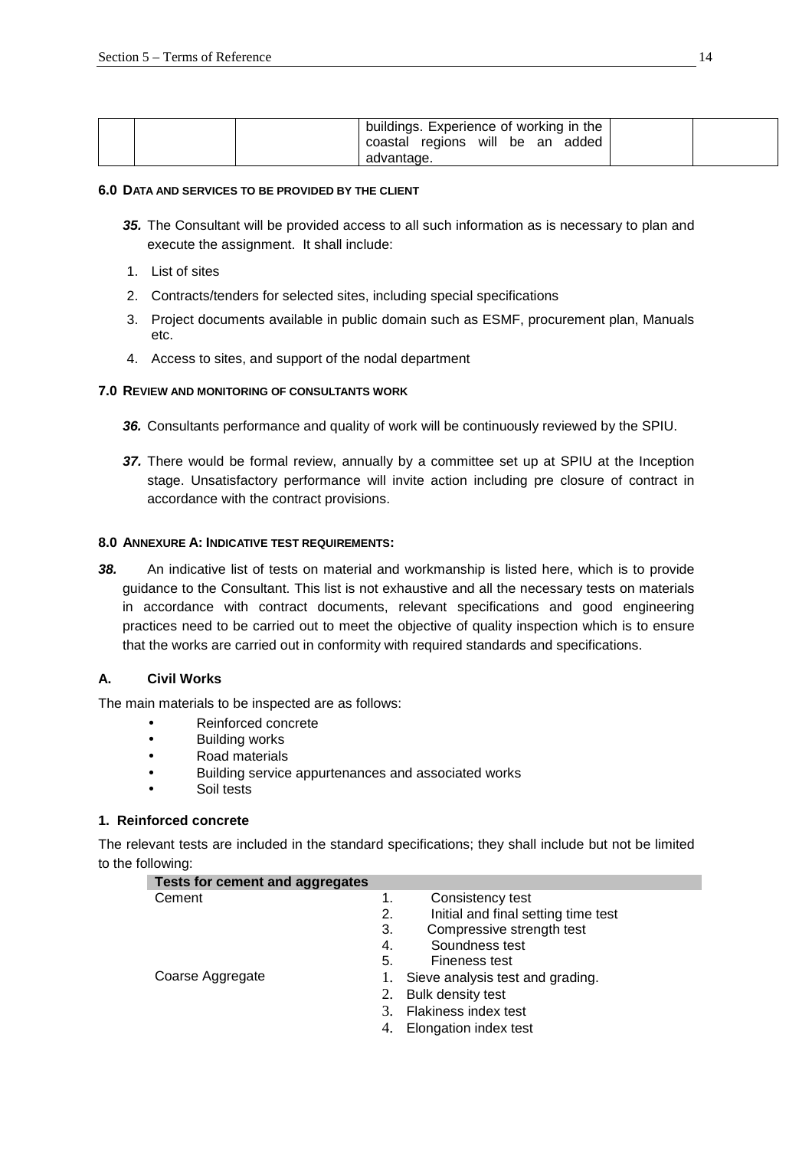|  | buildings. Experience of working in the        |  |
|--|------------------------------------------------|--|
|  | coastal regions will be an added<br>advantage. |  |

#### **6.0 DATA AND SERVICES TO BE PROVIDED BY THE CLIENT**

- **35.** The Consultant will be provided access to all such information as is necessary to plan and execute the assignment. It shall include:
- 1. List of sites
- 2. Contracts/tenders for selected sites, including special specifications
- 3. Project documents available in public domain such as ESMF, procurement plan, Manuals etc.
- 4. Access to sites, and support of the nodal department

#### **7.0 REVIEW AND MONITORING OF CONSULTANTS WORK**

- **36.** Consultants performance and quality of work will be continuously reviewed by the SPIU.
- **37.** There would be formal review, annually by a committee set up at SPIU at the Inception stage. Unsatisfactory performance will invite action including pre closure of contract in accordance with the contract provisions.

#### **8.0 ANNEXURE A: INDICATIVE TEST REQUIREMENTS:**

**38.** An indicative list of tests on material and workmanship is listed here, which is to provide guidance to the Consultant. This list is not exhaustive and all the necessary tests on materials in accordance with contract documents, relevant specifications and good engineering practices need to be carried out to meet the objective of quality inspection which is to ensure that the works are carried out in conformity with required standards and specifications.

# **A. Civil Works**

The main materials to be inspected are as follows:

- Reinforced concrete
- Building works
- Road materials
- Building service appurtenances and associated works
- Soil tests

# **1. Reinforced concrete**

The relevant tests are included in the standard specifications; they shall include but not be limited to the following:

| <b>Tests for cement and aggregates</b> |    |                                     |
|----------------------------------------|----|-------------------------------------|
| Cement                                 | 1. | Consistency test                    |
|                                        | 2. | Initial and final setting time test |
|                                        | 3. | Compressive strength test           |
|                                        | 4. | Soundness test                      |
|                                        | 5. | Fineness test                       |
| Coarse Aggregate                       |    | Sieve analysis test and grading.    |
|                                        | 2. | Bulk density test                   |
|                                        |    | Flakiness index test                |
|                                        | 4. | Elongation index test               |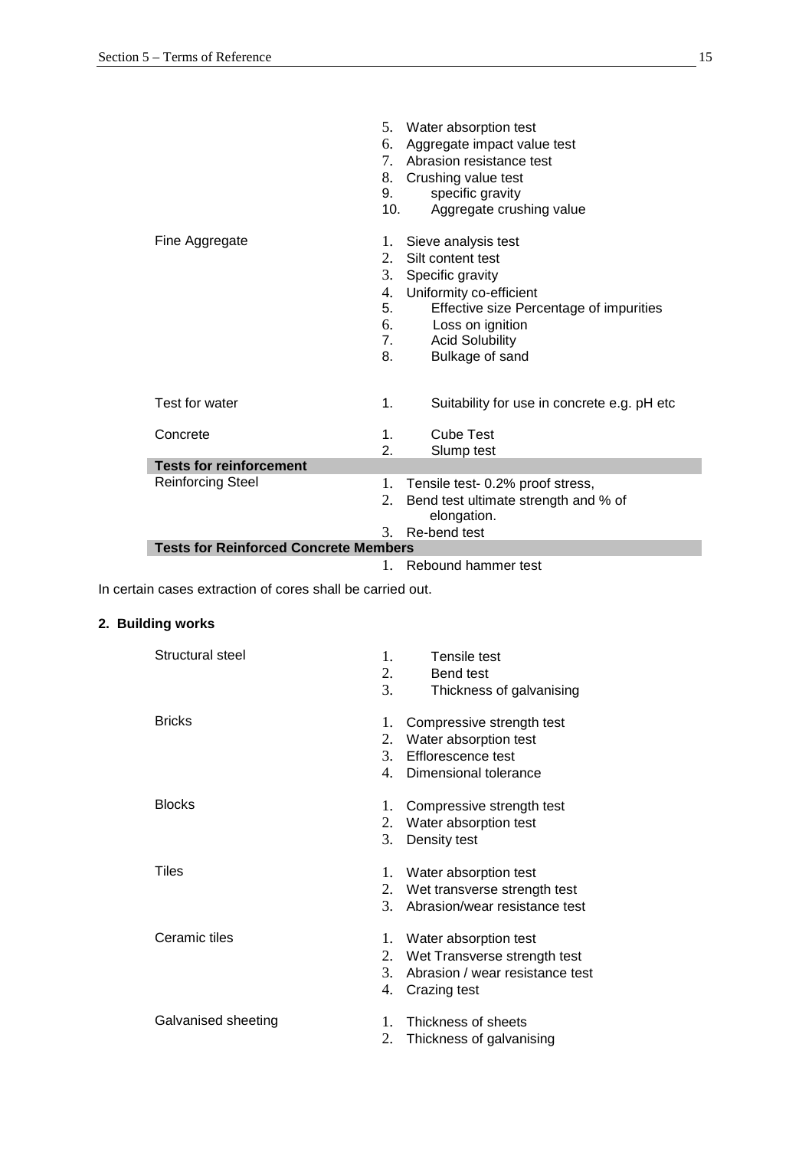|                                              | 5.  | Water absorption test                       |
|----------------------------------------------|-----|---------------------------------------------|
|                                              | 6.  | Aggregate impact value test                 |
|                                              | 7.  | Abrasion resistance test                    |
|                                              | 8.  | Crushing value test                         |
|                                              | 9.  | specific gravity                            |
|                                              | 10. | Aggregate crushing value                    |
|                                              |     |                                             |
| Fine Aggregate                               | 1.  | Sieve analysis test                         |
|                                              | 2.  | Silt content test                           |
|                                              | 3.  | Specific gravity                            |
|                                              | 4.  | Uniformity co-efficient                     |
|                                              | 5.  | Effective size Percentage of impurities     |
|                                              | 6.  | Loss on ignition                            |
|                                              | 7.  | <b>Acid Solubility</b>                      |
|                                              | 8.  | Bulkage of sand                             |
|                                              |     |                                             |
| Test for water                               | 1.  | Suitability for use in concrete e.g. pH etc |
| Concrete                                     | 1.  | Cube Test                                   |
|                                              | 2.  | Slump test                                  |
| <b>Tests for reinforcement</b>               |     |                                             |
| <b>Reinforcing Steel</b>                     | 1.  | Tensile test- 0.2% proof stress,            |
|                                              | 2.  | Bend test ultimate strength and % of        |
|                                              |     | elongation.                                 |
|                                              | 3.  | Re-bend test                                |
| <b>Tests for Reinforced Concrete Members</b> |     |                                             |
|                                              | 1.  | Rebound hammer test                         |

In certain cases extraction of cores shall be carried out.

# **2. Building works**

| Structural steel    | 1.<br>Tensile test<br>2.<br>Bend test<br>3.<br>Thickness of galvanising                                                               |
|---------------------|---------------------------------------------------------------------------------------------------------------------------------------|
| <b>Bricks</b>       | 1.<br>Compressive strength test<br>2.<br>Water absorption test<br>3 <sub>1</sub><br>Efflorescence test<br>4.<br>Dimensional tolerance |
| <b>Blocks</b>       | 1.<br>Compressive strength test<br>2.<br>Water absorption test<br>3.<br>Density test                                                  |
| Tiles               | 1.<br>Water absorption test<br>Wet transverse strength test<br>2.<br>3.<br>Abrasion/wear resistance test                              |
| Ceramic tiles       | 1.<br>Water absorption test<br>2.<br>Wet Transverse strength test<br>3.<br>Abrasion / wear resistance test<br>4.<br>Crazing test      |
| Galvanised sheeting | 1.<br>Thickness of sheets<br>2.<br>Thickness of galvanising                                                                           |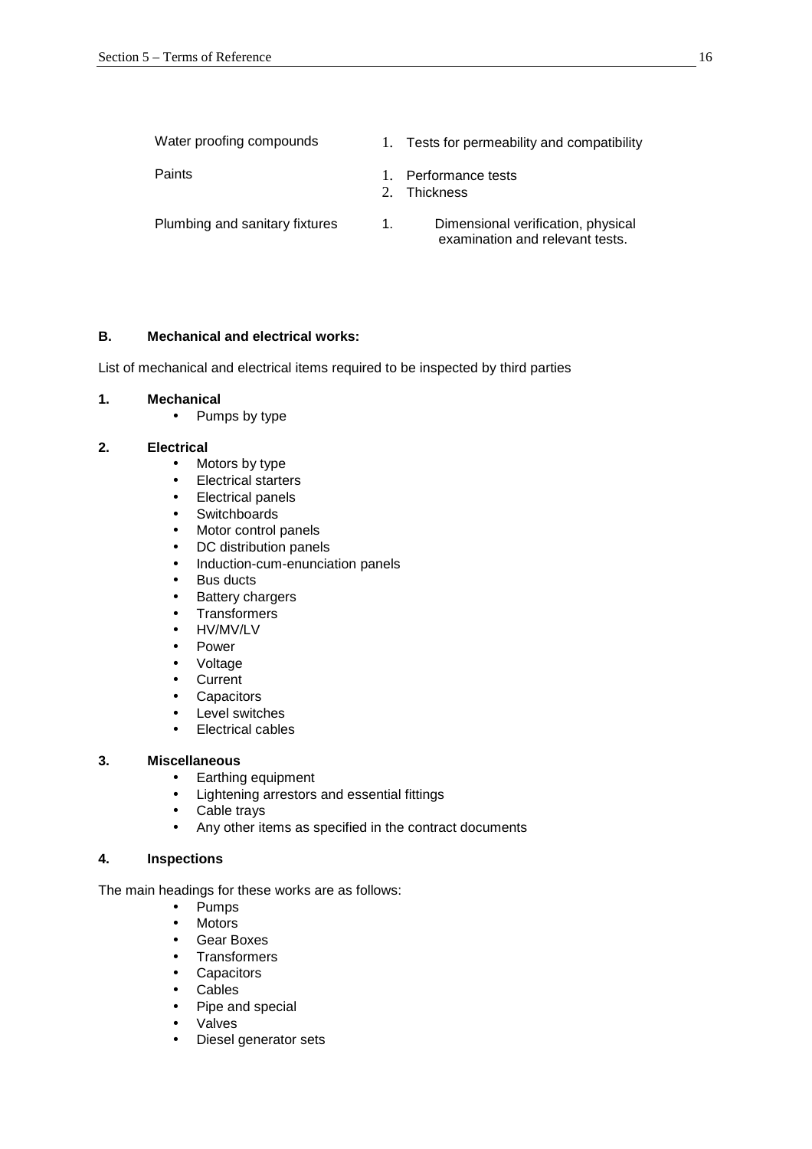| Water proofing compounds       | 1.          | Tests for permeability and compatibility                              |
|--------------------------------|-------------|-----------------------------------------------------------------------|
| Paints                         | $2^{\circ}$ | Performance tests<br>Thickness                                        |
| Plumbing and sanitary fixtures | 1.          | Dimensional verification, physical<br>examination and relevant tests. |

# **B. Mechanical and electrical works:**

List of mechanical and electrical items required to be inspected by third parties

#### **1. Mechanical**

• Pumps by type

#### **2. Electrical**

- Motors by type
- Electrical starters
- Electrical panels
- Switchboards
- Motor control panels
- DC distribution panels
- Induction-cum-enunciation panels
- Bus ducts
- Battery chargers
- Transformers
- HV/MV/LV
- Power
- Voltage
- Current
- Capacitors
- Level switches
- Electrical cables

# **3. Miscellaneous**

- Earthing equipment
- Lightening arrestors and essential fittings
- Cable trays
- Any other items as specified in the contract documents

#### **4. Inspections**

The main headings for these works are as follows:

- Pumps
- Motors
- Gear Boxes
- Transformers
- Capacitors
- Cables
- Pipe and special
- Valves
- Diesel generator sets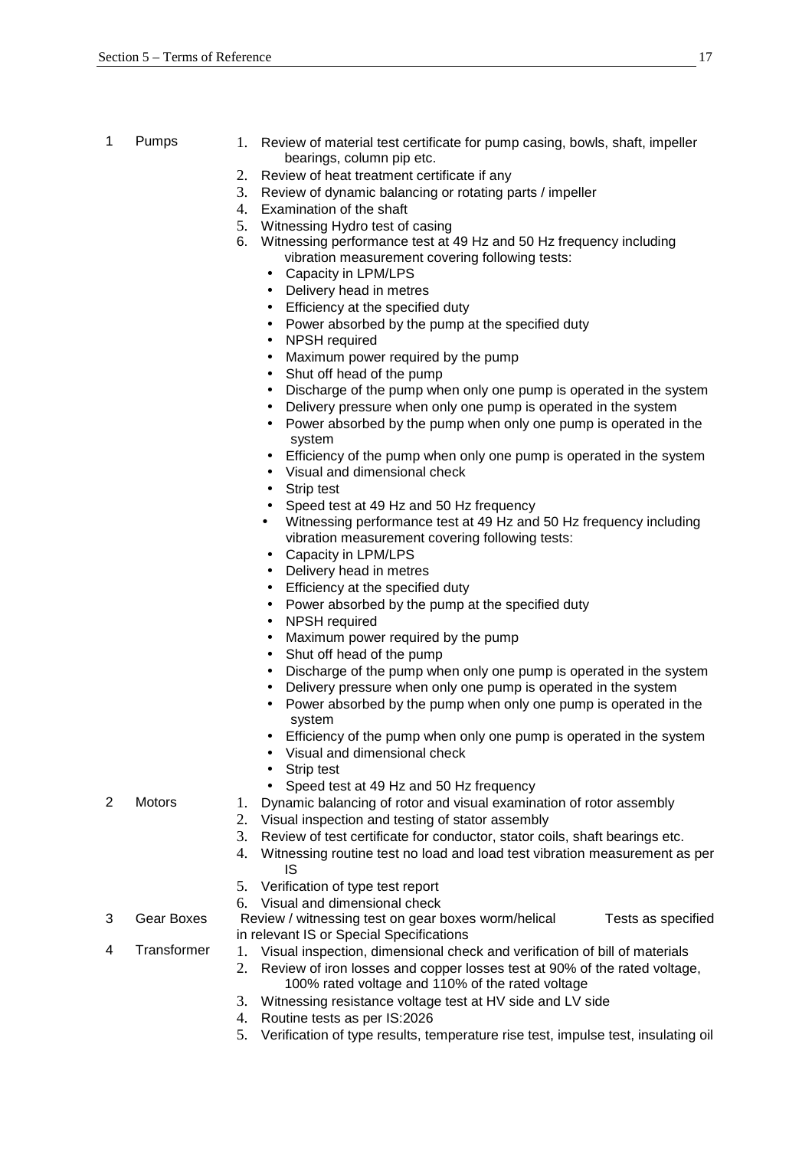- 
- 1 Pumps 1. Review of material test certificate for pump casing, bowls, shaft, impeller bearings, column pip etc.
	- 2. Review of heat treatment certificate if any
	- 3. Review of dynamic balancing or rotating parts / impeller
	- 4. Examination of the shaft
	- 5. Witnessing Hydro test of casing
	- 6. Witnessing performance test at 49 Hz and 50 Hz frequency including vibration measurement covering following tests:
		- Capacity in LPM/LPS
		- Delivery head in metres
		- Efficiency at the specified duty
		- Power absorbed by the pump at the specified duty
		- NPSH required
		- Maximum power required by the pump
		- Shut off head of the pump
		- Discharge of the pump when only one pump is operated in the system
		- Delivery pressure when only one pump is operated in the system
		- Power absorbed by the pump when only one pump is operated in the system
		- Efficiency of the pump when only one pump is operated in the system
		- Visual and dimensional check
		- Strip test
		- Speed test at 49 Hz and 50 Hz frequency
		- Witnessing performance test at 49 Hz and 50 Hz frequency including vibration measurement covering following tests:
		- Capacity in LPM/LPS
		- Delivery head in metres
		- Efficiency at the specified duty
		- Power absorbed by the pump at the specified duty
		- NPSH required
		- Maximum power required by the pump
		- Shut off head of the pump
		- Discharge of the pump when only one pump is operated in the system
		- Delivery pressure when only one pump is operated in the system
		- Power absorbed by the pump when only one pump is operated in the system
		- Efficiency of the pump when only one pump is operated in the system
		- Visual and dimensional check
		- Strip test
		- Speed test at 49 Hz and 50 Hz frequency
- 2 Motors 1. Dynamic balancing of rotor and visual examination of rotor assembly
	- 2. Visual inspection and testing of stator assembly
	- 3. Review of test certificate for conductor, stator coils, shaft bearings etc.
	- 4. Witnessing routine test no load and load test vibration measurement as per IS
	- 5. Verification of type test report
	- 6. Visual and dimensional check
- 3 Gear Boxes Review / witnessing test on gear boxes worm/helical Tests as specified in relevant IS or Special Specifications
- 
- 4 Transformer 1. Visual inspection, dimensional check and verification of bill of materials 2. Review of iron losses and copper losses test at 90% of the rated voltage,
	- 100% rated voltage and 110% of the rated voltage
	- 3. Witnessing resistance voltage test at HV side and LV side
	- 4. Routine tests as per IS:2026
	- 5. Verification of type results, temperature rise test, impulse test, insulating oil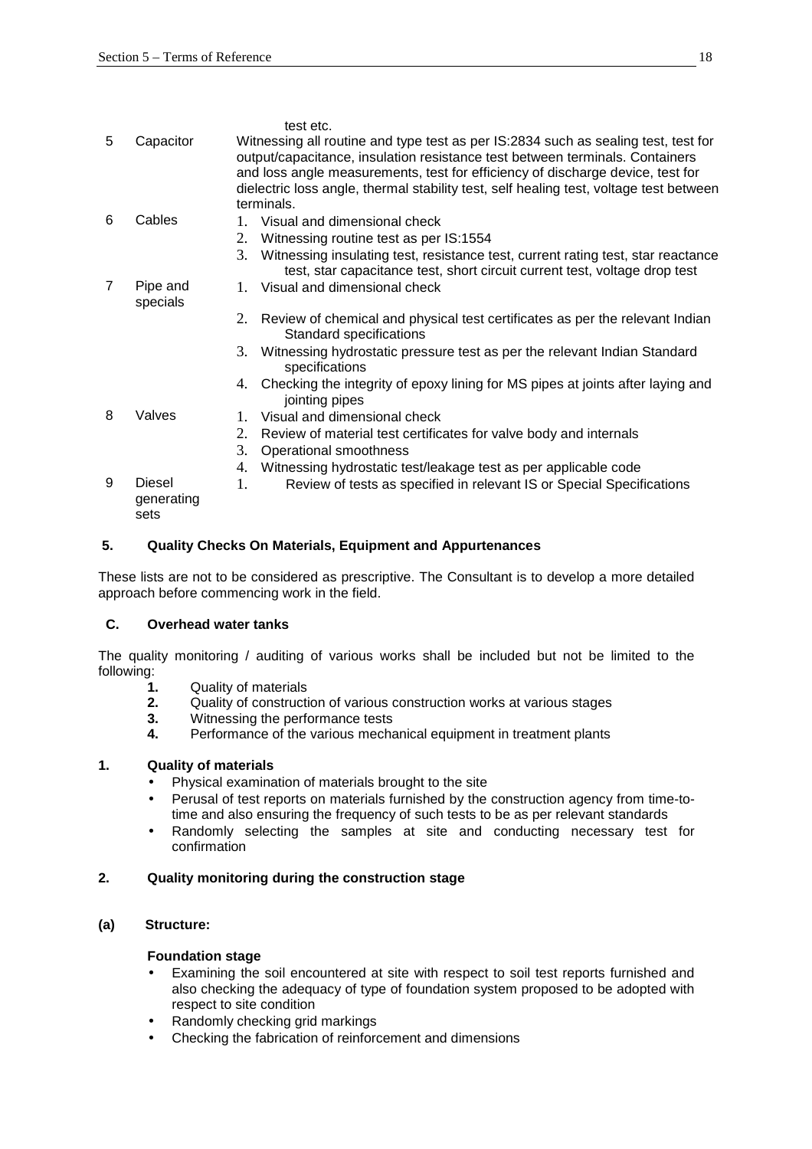|   |                              | test etc.                                                                                                                                                                                                                                                                                                                                                    |
|---|------------------------------|--------------------------------------------------------------------------------------------------------------------------------------------------------------------------------------------------------------------------------------------------------------------------------------------------------------------------------------------------------------|
| 5 | Capacitor                    | Witnessing all routine and type test as per IS:2834 such as sealing test, test for<br>output/capacitance, insulation resistance test between terminals. Containers<br>and loss angle measurements, test for efficiency of discharge device, test for<br>dielectric loss angle, thermal stability test, self healing test, voltage test between<br>terminals. |
| 6 | Cables                       | 1. Visual and dimensional check                                                                                                                                                                                                                                                                                                                              |
|   |                              | Witnessing routine test as per IS:1554<br>2.                                                                                                                                                                                                                                                                                                                 |
|   |                              | Witnessing insulating test, resistance test, current rating test, star reactance<br>3.<br>test, star capacitance test, short circuit current test, voltage drop test                                                                                                                                                                                         |
| 7 | Pipe and<br>specials         | 1. Visual and dimensional check                                                                                                                                                                                                                                                                                                                              |
|   |                              | Review of chemical and physical test certificates as per the relevant Indian<br>2.<br>Standard specifications                                                                                                                                                                                                                                                |
|   |                              | 3. Witnessing hydrostatic pressure test as per the relevant Indian Standard<br>specifications                                                                                                                                                                                                                                                                |
|   |                              | Checking the integrity of epoxy lining for MS pipes at joints after laying and<br>4.<br>jointing pipes                                                                                                                                                                                                                                                       |
| 8 | Valves                       | 1. Visual and dimensional check                                                                                                                                                                                                                                                                                                                              |
|   |                              | 2.<br>Review of material test certificates for valve body and internals                                                                                                                                                                                                                                                                                      |
|   |                              | 3.<br>Operational smoothness                                                                                                                                                                                                                                                                                                                                 |
|   |                              | Witnessing hydrostatic test/leakage test as per applicable code<br>4.                                                                                                                                                                                                                                                                                        |
| 9 | Diesel<br>generating<br>sets | 1.<br>Review of tests as specified in relevant IS or Special Specifications                                                                                                                                                                                                                                                                                  |

# **5. Quality Checks On Materials, Equipment and Appurtenances**

These lists are not to be considered as prescriptive. The Consultant is to develop a more detailed approach before commencing work in the field.

# **C. Overhead water tanks**

The quality monitoring / auditing of various works shall be included but not be limited to the following:

- **1.** Quality of materials
- **2.** Quality of construction of various construction works at various stages
- **3.** Witnessing the performance tests
- **4.** Performance of the various mechanical equipment in treatment plants

# **1. Quality of materials**

- Physical examination of materials brought to the site
- Perusal of test reports on materials furnished by the construction agency from time-totime and also ensuring the frequency of such tests to be as per relevant standards
- Randomly selecting the samples at site and conducting necessary test for confirmation

# **2. Quality monitoring during the construction stage**

# **(a) Structure:**

# **Foundation stage**

- Examining the soil encountered at site with respect to soil test reports furnished and also checking the adequacy of type of foundation system proposed to be adopted with respect to site condition
- Randomly checking grid markings
- Checking the fabrication of reinforcement and dimensions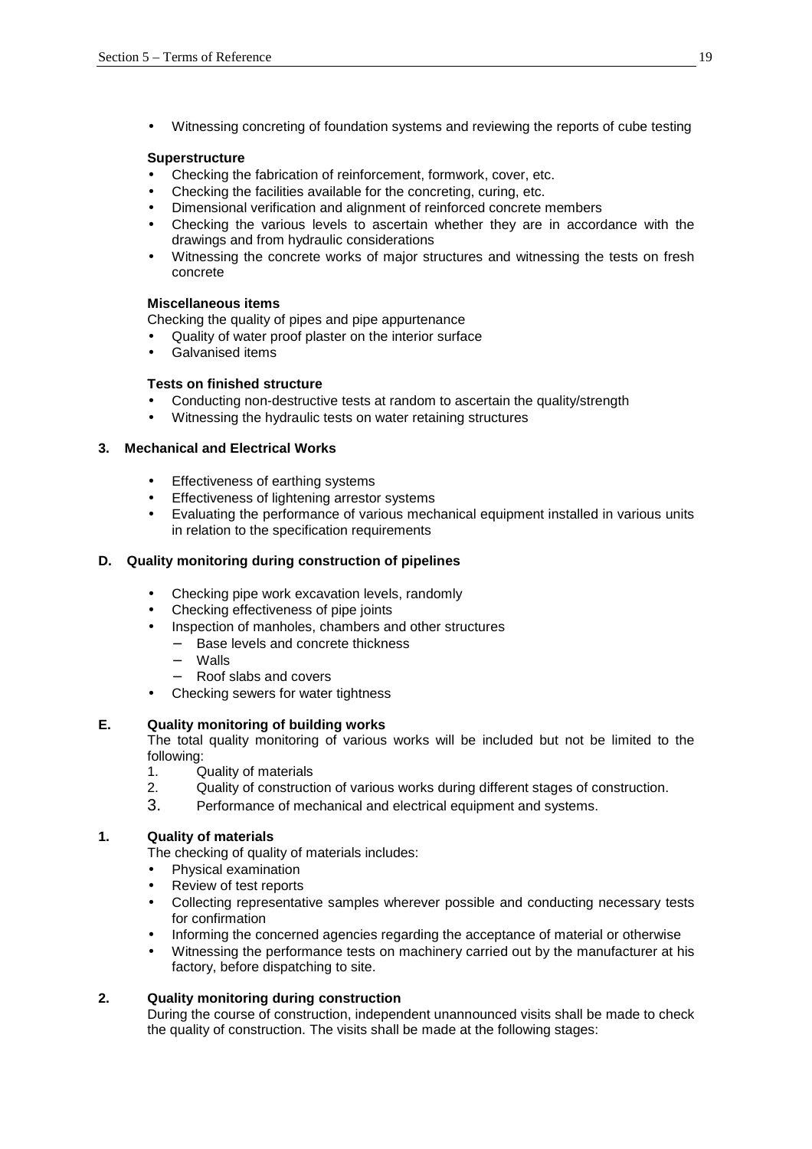Witnessing concreting of foundation systems and reviewing the reports of cube testing

#### **Superstructure**

- Checking the fabrication of reinforcement, formwork, cover, etc.
- Checking the facilities available for the concreting, curing, etc.
- Dimensional verification and alignment of reinforced concrete members
- Checking the various levels to ascertain whether they are in accordance with the drawings and from hydraulic considerations
- Witnessing the concrete works of major structures and witnessing the tests on fresh concrete

#### **Miscellaneous items**

Checking the quality of pipes and pipe appurtenance

- Quality of water proof plaster on the interior surface
- Galvanised items

#### **Tests on finished structure**

- Conducting non-destructive tests at random to ascertain the quality/strength
- Witnessing the hydraulic tests on water retaining structures

#### **3. Mechanical and Electrical Works**

- Effectiveness of earthing systems
- Effectiveness of lightening arrestor systems
- Evaluating the performance of various mechanical equipment installed in various units in relation to the specification requirements

# **D. Quality monitoring during construction of pipelines**

- Checking pipe work excavation levels, randomly
- Checking effectiveness of pipe joints
- Inspection of manholes, chambers and other structures
	- Base levels and concrete thickness
	- − Walls
	- Roof slabs and covers
- Checking sewers for water tightness

# **E. Quality monitoring of building works**

The total quality monitoring of various works will be included but not be limited to the following:

- 1. Quality of materials<br>2. Cuality of construction
- 2. Quality of construction of various works during different stages of construction.
- 3. Performance of mechanical and electrical equipment and systems.

#### **1. Quality of materials**

The checking of quality of materials includes:

- Physical examination
- Review of test reports
- Collecting representative samples wherever possible and conducting necessary tests for confirmation
- Informing the concerned agencies regarding the acceptance of material or otherwise
- Witnessing the performance tests on machinery carried out by the manufacturer at his factory, before dispatching to site.

# **2. Quality monitoring during construction**

During the course of construction, independent unannounced visits shall be made to check the quality of construction. The visits shall be made at the following stages: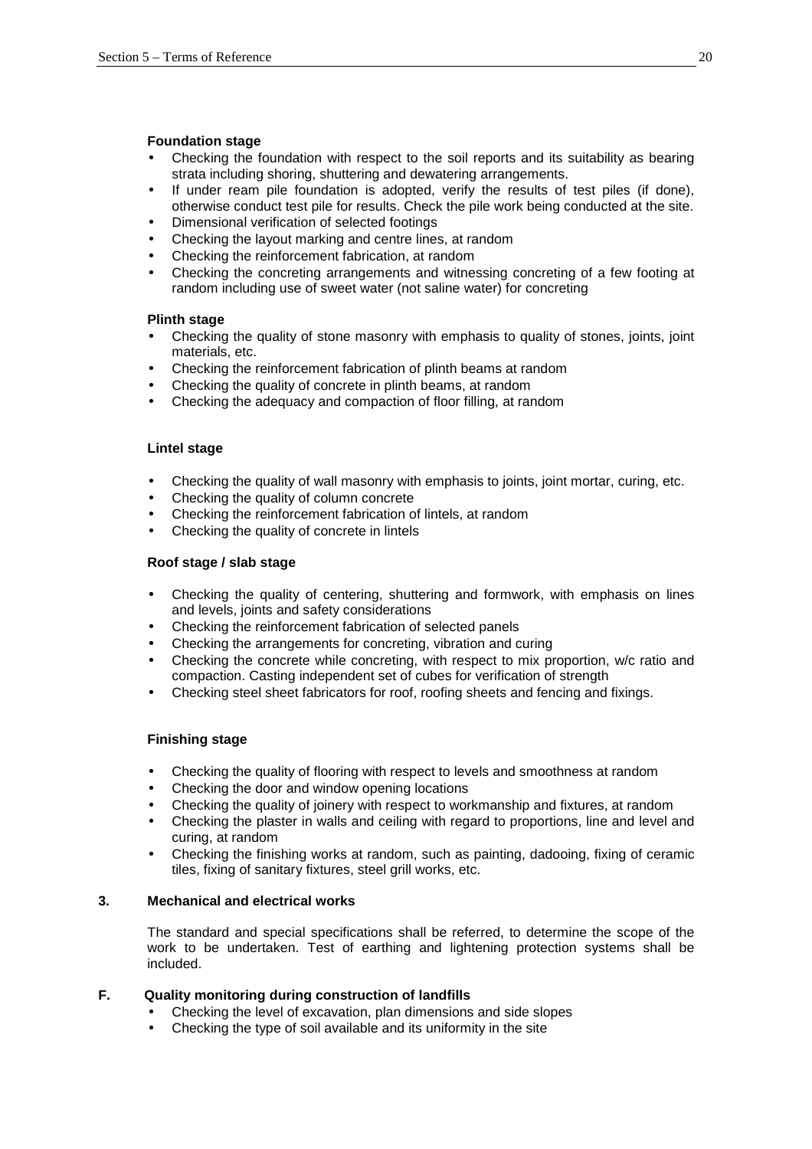#### **Foundation stage**

- Checking the foundation with respect to the soil reports and its suitability as bearing strata including shoring, shuttering and dewatering arrangements.
- If under ream pile foundation is adopted, verify the results of test piles (if done), otherwise conduct test pile for results. Check the pile work being conducted at the site.
- Dimensional verification of selected footings
- Checking the layout marking and centre lines, at random
- Checking the reinforcement fabrication, at random
- Checking the concreting arrangements and witnessing concreting of a few footing at random including use of sweet water (not saline water) for concreting

#### **Plinth stage**

- Checking the quality of stone masonry with emphasis to quality of stones, joints, joint materials, etc.
- Checking the reinforcement fabrication of plinth beams at random
- Checking the quality of concrete in plinth beams, at random
- Checking the adequacy and compaction of floor filling, at random

#### **Lintel stage**

- Checking the quality of wall masonry with emphasis to joints, joint mortar, curing, etc.
- Checking the quality of column concrete
- Checking the reinforcement fabrication of lintels, at random
- Checking the quality of concrete in lintels

#### **Roof stage / slab stage**

- Checking the quality of centering, shuttering and formwork, with emphasis on lines and levels, joints and safety considerations
- Checking the reinforcement fabrication of selected panels
- Checking the arrangements for concreting, vibration and curing
- Checking the concrete while concreting, with respect to mix proportion, w/c ratio and compaction. Casting independent set of cubes for verification of strength
- Checking steel sheet fabricators for roof, roofing sheets and fencing and fixings.

# **Finishing stage**

- Checking the quality of flooring with respect to levels and smoothness at random
- Checking the door and window opening locations
- Checking the quality of joinery with respect to workmanship and fixtures, at random
- Checking the plaster in walls and ceiling with regard to proportions, line and level and curing, at random
- Checking the finishing works at random, such as painting, dadooing, fixing of ceramic tiles, fixing of sanitary fixtures, steel grill works, etc.

#### **3. Mechanical and electrical works**

The standard and special specifications shall be referred, to determine the scope of the work to be undertaken. Test of earthing and lightening protection systems shall be included.

# **F. Quality monitoring during construction of landfills**

- Checking the level of excavation, plan dimensions and side slopes
- Checking the type of soil available and its uniformity in the site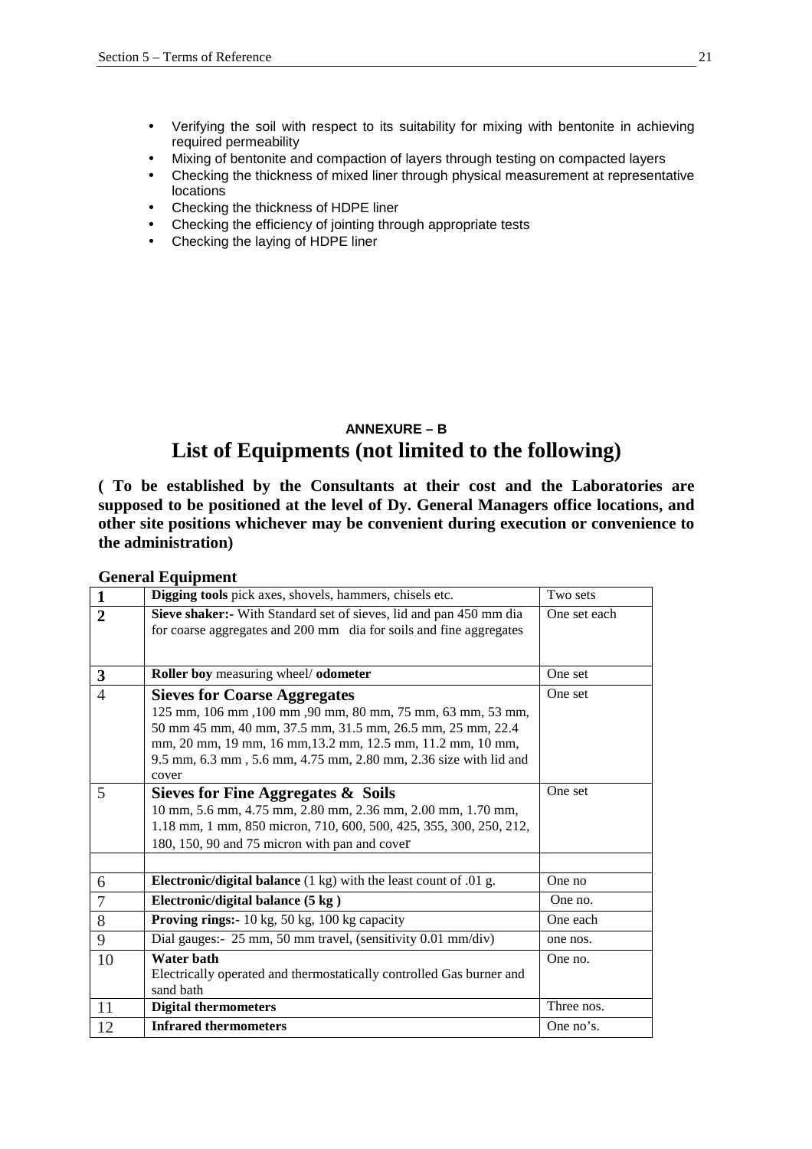- Verifying the soil with respect to its suitability for mixing with bentonite in achieving required permeability
- Mixing of bentonite and compaction of layers through testing on compacted layers
- Checking the thickness of mixed liner through physical measurement at representative locations
- Checking the thickness of HDPE liner
- Checking the efficiency of jointing through appropriate tests
- Checking the laying of HDPE liner

# **ANNEXURE – B List of Equipments (not limited to the following)**

**( To be established by the Consultants at their cost and the Laboratories are supposed to be positioned at the level of Dy. General Managers office locations, and other site positions whichever may be convenient during execution or convenience to the administration)** 

**1 Digging tools** pick axes, shovels, hammers, chisels etc. Two sets **2 Sieve shaker:-** With Standard set of sieves, lid and pan 450 mm dia for coarse aggregates and 200 mm dia for soils and fine aggregates One set each **3 Roller boy** measuring wheel/ **odometer** One set 4 **Sieves for Coarse Aggregates** 125 mm, 106 mm ,100 mm ,90 mm, 80 mm, 75 mm, 63 mm, 53 mm, 50 mm 45 mm, 40 mm, 37.5 mm, 31.5 mm, 26.5 mm, 25 mm, 22.4 mm, 20 mm, 19 mm, 16 mm,13.2 mm, 12.5 mm, 11.2 mm, 10 mm, 9.5 mm, 6.3 mm , 5.6 mm, 4.75 mm, 2.80 mm, 2.36 size with lid and cover One set 5 **Sieves for Fine Aggregates & Soils** 10 mm, 5.6 mm, 4.75 mm, 2.80 mm, 2.36 mm, 2.00 mm, 1.70 mm, 1.18 mm, 1 mm, 850 micron, 710, 600, 500, 425, 355, 300, 250, 212, 180, 150, 90 and 75 micron with pan and cover One set 6 **Electronic/digital balance** (1 kg) with the least count of .01 g. One no 7 **Electronic/digital balance (5 kg )** One no. 8 **Proving rings:** 10 kg, 50 kg, 100 kg capacity **One** each 9 Dial gauges:- 25 mm, 50 mm travel, (sensitivity 0.01 mm/div) one nos. 10 **Water bath** Electrically operated and thermostatically controlled Gas burner and sand bath One no. 11 **Digital thermometers** Three nos. 12 **Infrared thermometers** One no's.

**General Equipment**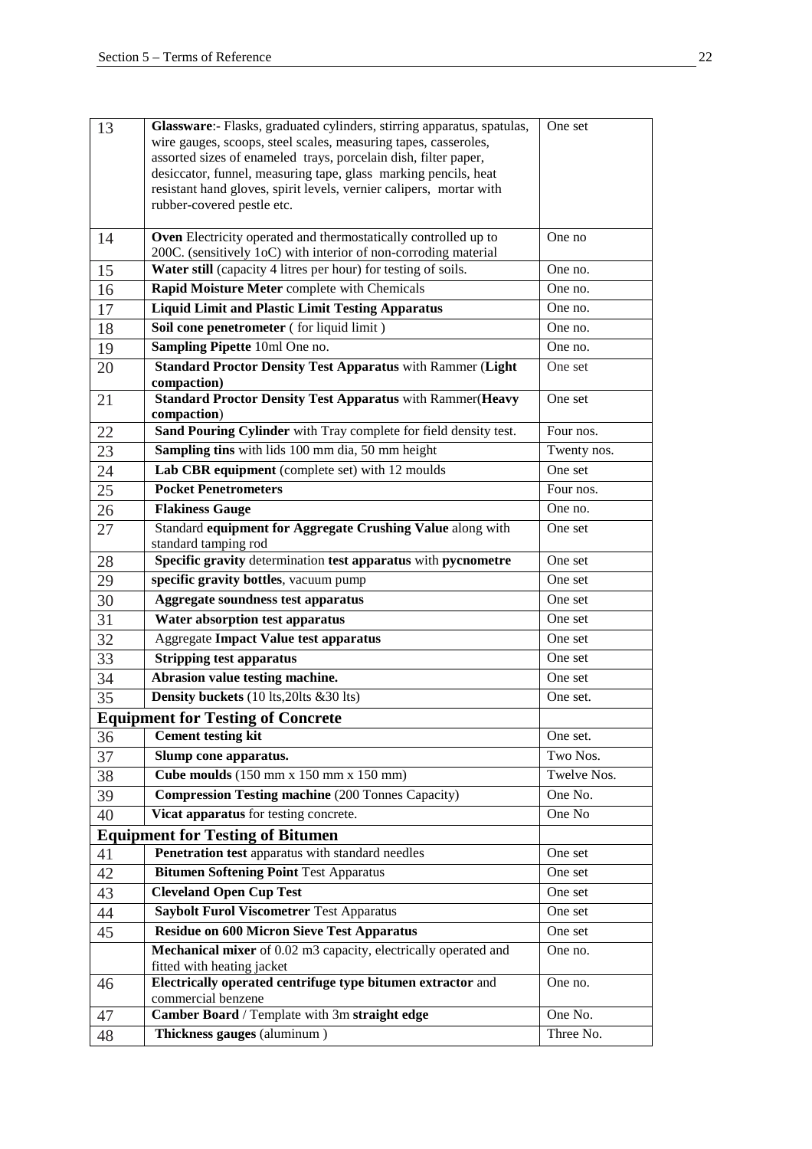| 13 | Glassware:- Flasks, graduated cylinders, stirring apparatus, spatulas,            | One set     |
|----|-----------------------------------------------------------------------------------|-------------|
|    | wire gauges, scoops, steel scales, measuring tapes, casseroles,                   |             |
|    | assorted sizes of enameled trays, porcelain dish, filter paper,                   |             |
|    | desiccator, funnel, measuring tape, glass marking pencils, heat                   |             |
|    | resistant hand gloves, spirit levels, vernier calipers, mortar with               |             |
|    | rubber-covered pestle etc.                                                        |             |
| 14 | Oven Electricity operated and thermostatically controlled up to                   | One no      |
|    | 200C. (sensitively 1oC) with interior of non-corroding material                   |             |
| 15 | Water still (capacity 4 litres per hour) for testing of soils.                    | One no.     |
| 16 | Rapid Moisture Meter complete with Chemicals                                      | One no.     |
| 17 | <b>Liquid Limit and Plastic Limit Testing Apparatus</b>                           | One no.     |
| 18 | Soil cone penetrometer (for liquid limit)                                         | One no.     |
| 19 | Sampling Pipette 10ml One no.                                                     | One no.     |
| 20 | <b>Standard Proctor Density Test Apparatus with Rammer (Light</b>                 | One set     |
| 21 | compaction)<br><b>Standard Proctor Density Test Apparatus with Rammer (Heavy</b>  | One set     |
|    | compaction)                                                                       |             |
| 22 | Sand Pouring Cylinder with Tray complete for field density test.                  | Four nos.   |
| 23 | Sampling tins with lids 100 mm dia, 50 mm height                                  | Twenty nos. |
| 24 | Lab CBR equipment (complete set) with 12 moulds                                   | One set     |
| 25 | <b>Pocket Penetrometers</b>                                                       | Four nos.   |
| 26 | <b>Flakiness Gauge</b>                                                            | One no.     |
| 27 | Standard equipment for Aggregate Crushing Value along with                        | One set     |
|    | standard tamping rod                                                              |             |
| 28 | Specific gravity determination test apparatus with pycnometre                     | One set     |
| 29 | specific gravity bottles, vacuum pump                                             | One set     |
| 30 | <b>Aggregate soundness test apparatus</b>                                         | One set     |
| 31 | Water absorption test apparatus                                                   | One set     |
| 32 | <b>Aggregate Impact Value test apparatus</b>                                      | One set     |
| 33 | <b>Stripping test apparatus</b>                                                   | One set     |
| 34 | Abrasion value testing machine.                                                   | One set     |
| 35 | Density buckets (10 lts, 20lts & 30 lts)                                          | One set.    |
|    | <b>Equipment for Testing of Concrete</b>                                          |             |
| 36 | <b>Cement testing kit</b>                                                         | One set.    |
| 37 | Slump cone apparatus.                                                             | Two Nos.    |
| 38 | Cube moulds (150 mm x 150 mm x 150 mm)                                            | Twelve Nos. |
| 39 | <b>Compression Testing machine</b> (200 Tonnes Capacity)                          | One No.     |
| 40 | Vicat apparatus for testing concrete.                                             | One No      |
|    | <b>Equipment for Testing of Bitumen</b>                                           |             |
| 41 | Penetration test apparatus with standard needles                                  | One set     |
| 42 | <b>Bitumen Softening Point Test Apparatus</b>                                     | One set     |
| 43 | <b>Cleveland Open Cup Test</b>                                                    | One set     |
| 44 | <b>Saybolt Furol Viscometrer Test Apparatus</b>                                   | One set     |
| 45 | <b>Residue on 600 Micron Sieve Test Apparatus</b>                                 | One set     |
|    | Mechanical mixer of 0.02 m3 capacity, electrically operated and                   | One no.     |
|    | fitted with heating jacket                                                        |             |
| 46 | Electrically operated centrifuge type bitumen extractor and<br>commercial benzene | One no.     |
| 47 | Camber Board / Template with 3m straight edge                                     | One No.     |
| 48 | Thickness gauges (aluminum)                                                       | Three No.   |
|    |                                                                                   |             |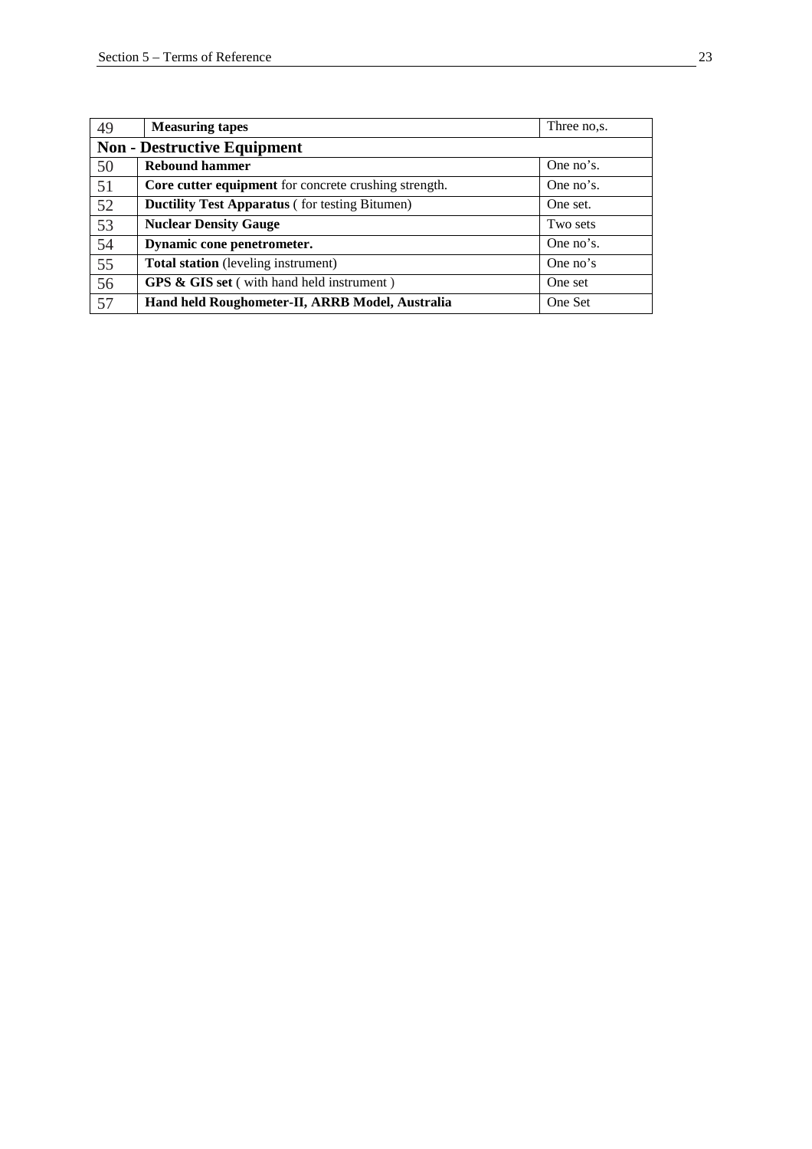| 49 | <b>Measuring tapes</b>                                | Three no,s. |  |  |  |  |
|----|-------------------------------------------------------|-------------|--|--|--|--|
|    | <b>Non - Destructive Equipment</b>                    |             |  |  |  |  |
| 50 | <b>Rebound hammer</b>                                 | One no's.   |  |  |  |  |
| 51 | Core cutter equipment for concrete crushing strength. | One no's.   |  |  |  |  |
| 52 | <b>Ductility Test Apparatus (for testing Bitumen)</b> | One set.    |  |  |  |  |
| 53 | <b>Nuclear Density Gauge</b>                          | Two sets    |  |  |  |  |
| 54 | Dynamic cone penetrometer.                            | One no's.   |  |  |  |  |
| 55 | <b>Total station</b> (leveling instrument)            | One no's    |  |  |  |  |
| 56 | <b>GPS &amp; GIS set</b> (with hand held instrument)  | One set     |  |  |  |  |
| 57 | Hand held Roughometer-II, ARRB Model, Australia       | One Set     |  |  |  |  |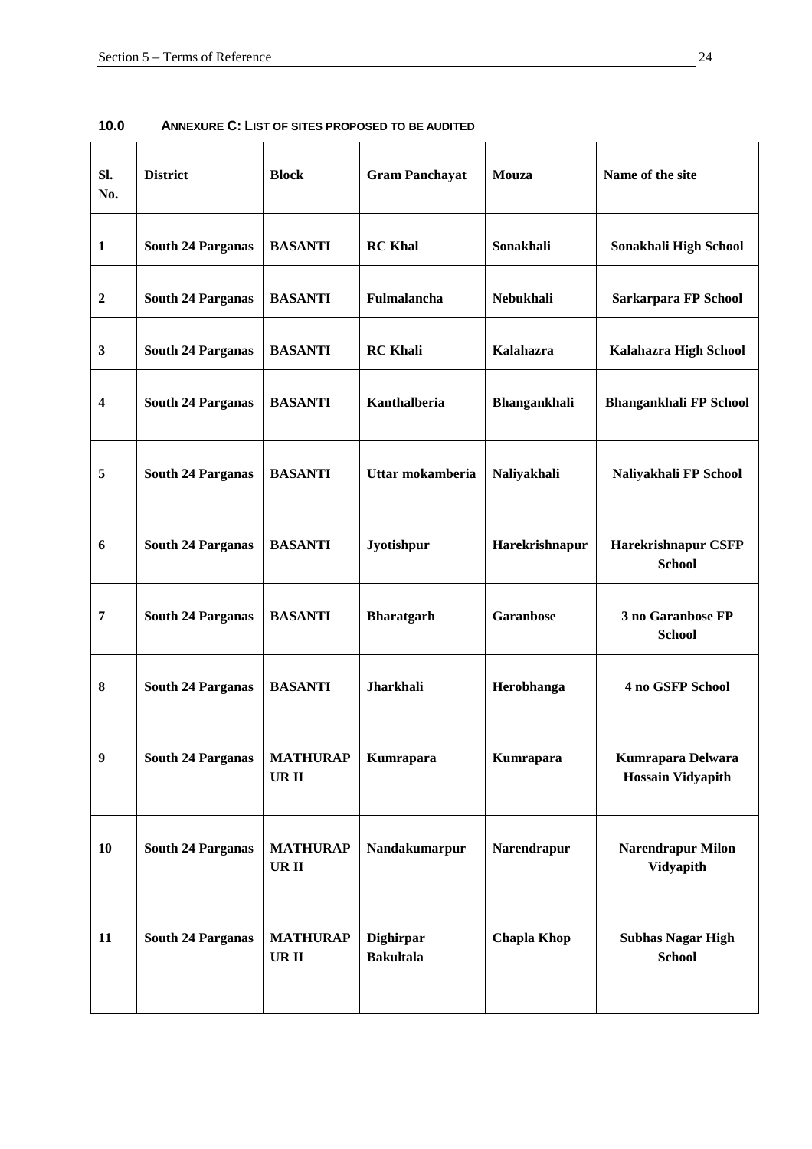| SI.<br>No.              | <b>District</b>          | <b>Block</b>                   | <b>Gram Panchayat</b>                | Mouza              | Name of the site                              |
|-------------------------|--------------------------|--------------------------------|--------------------------------------|--------------------|-----------------------------------------------|
| $\mathbf{1}$            | <b>South 24 Parganas</b> | <b>BASANTI</b>                 | <b>RC</b> Khal                       | Sonakhali          | Sonakhali High School                         |
| $\boldsymbol{2}$        | <b>South 24 Parganas</b> | <b>BASANTI</b>                 | Fulmalancha                          | Nebukhali          | Sarkarpara FP School                          |
| $\mathbf{3}$            | <b>South 24 Parganas</b> | <b>BASANTI</b>                 | <b>RC</b> Khali                      | Kalahazra          | Kalahazra High School                         |
| $\overline{\mathbf{4}}$ | <b>South 24 Parganas</b> | <b>BASANTI</b>                 | Kanthalberia                         | Bhangankhali       | <b>Bhangankhali FP School</b>                 |
| 5                       | <b>South 24 Parganas</b> | <b>BASANTI</b>                 | Uttar mokamberia                     | Naliyakhali        | Naliyakhali FP School                         |
| 6                       | <b>South 24 Parganas</b> | <b>BASANTI</b>                 | Jyotishpur                           | Harekrishnapur     | <b>Harekrishnapur CSFP</b><br><b>School</b>   |
| $\overline{7}$          | <b>South 24 Parganas</b> | <b>BASANTI</b>                 | <b>Bharatgarh</b>                    | <b>Garanbose</b>   | 3 no Garanbose FP<br><b>School</b>            |
| 8                       | <b>South 24 Parganas</b> | <b>BASANTI</b>                 | Jharkhali                            | Herobhanga         | 4 no GSFP School                              |
| $\boldsymbol{9}$        | <b>South 24 Parganas</b> | <b>MATHURAP</b><br><b>URII</b> | Kumrapara                            | Kumrapara          | Kumrapara Delwara<br><b>Hossain Vidyapith</b> |
| 10                      | <b>South 24 Parganas</b> | <b>MATHURAP</b><br>UR II       | Nandakumarpur                        | Narendrapur        | <b>Narendrapur Milon</b><br><b>Vidyapith</b>  |
| 11                      | <b>South 24 Parganas</b> | <b>MATHURAP</b><br>UR II       | <b>Dighirpar</b><br><b>Bakultala</b> | <b>Chapla Khop</b> | <b>Subhas Nagar High</b><br><b>School</b>     |

**10.0 ANNEXURE C: LIST OF SITES PROPOSED TO BE AUDITED**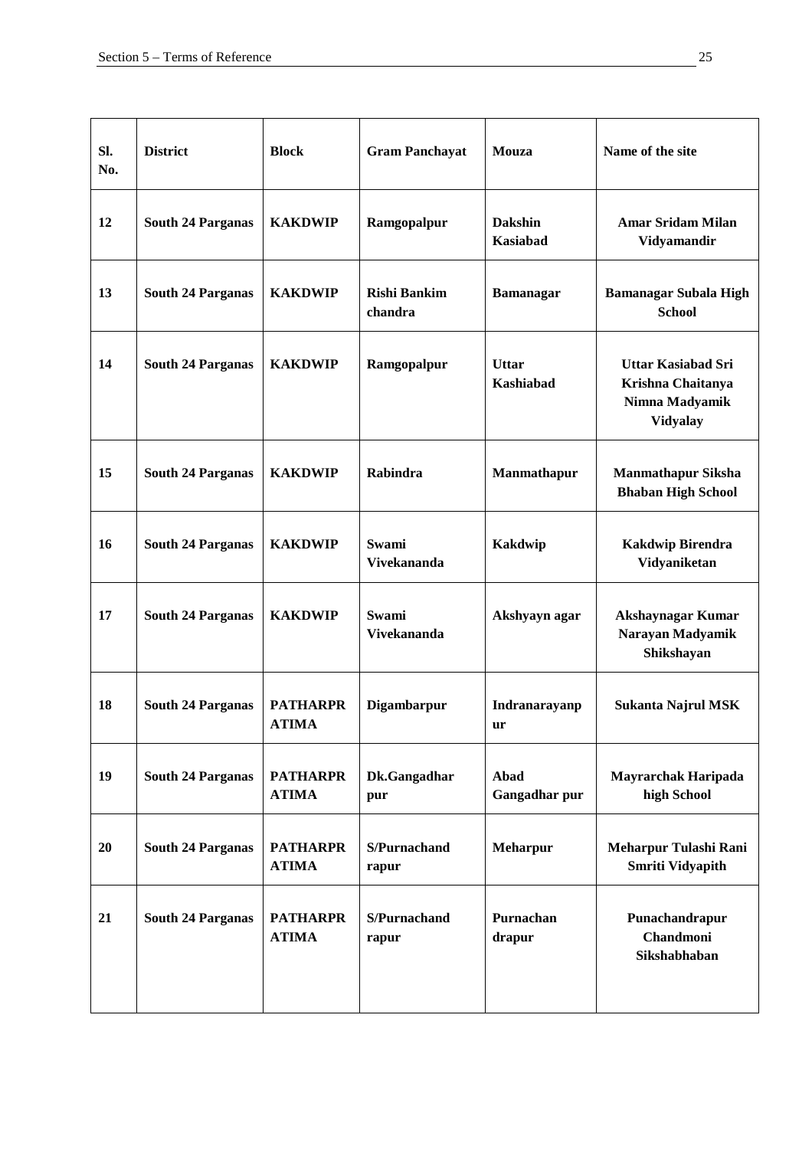| SI.<br>No. | <b>District</b>          | <b>Block</b>                    | <b>Gram Panchayat</b>          | Mouza                             | Name of the site                                                                    |
|------------|--------------------------|---------------------------------|--------------------------------|-----------------------------------|-------------------------------------------------------------------------------------|
| 12         | <b>South 24 Parganas</b> | <b>KAKDWIP</b>                  | Ramgopalpur                    | <b>Dakshin</b><br><b>Kasiabad</b> | <b>Amar Sridam Milan</b><br>Vidyamandir                                             |
| 13         | <b>South 24 Parganas</b> | <b>KAKDWIP</b>                  | <b>Rishi Bankim</b><br>chandra | <b>Bamanagar</b>                  | <b>Bamanagar Subala High</b><br><b>School</b>                                       |
| 14         | <b>South 24 Parganas</b> | <b>KAKDWIP</b>                  | Ramgopalpur                    | <b>Uttar</b><br><b>Kashiabad</b>  | <b>Uttar Kasiabad Sri</b><br>Krishna Chaitanya<br>Nimna Madyamik<br><b>Vidyalay</b> |
| 15         | <b>South 24 Parganas</b> | <b>KAKDWIP</b>                  | Rabindra                       | Manmathapur                       | <b>Manmathapur Siksha</b><br><b>Bhaban High School</b>                              |
| 16         | <b>South 24 Parganas</b> | <b>KAKDWIP</b>                  | Swami<br><b>Vivekananda</b>    | <b>Kakdwip</b>                    | <b>Kakdwip Birendra</b><br>Vidyaniketan                                             |
| 17         | <b>South 24 Parganas</b> | <b>KAKDWIP</b>                  | Swami<br><b>Vivekananda</b>    | Akshyayn agar                     | Akshaynagar Kumar<br>Narayan Madyamik<br>Shikshayan                                 |
| 18         | <b>South 24 Parganas</b> | <b>PATHARPR</b><br><b>ATIMA</b> | Digambarpur                    | Indranarayanp<br>ur               | <b>Sukanta Najrul MSK</b>                                                           |
| 19         | <b>South 24 Parganas</b> | <b>PATHARPR</b><br><b>ATIMA</b> | Dk.Gangadhar<br>pur            | Abad<br>Gangadhar pur             | <b>Mayrarchak Haripada</b><br>high School                                           |
| 20         | <b>South 24 Parganas</b> | <b>PATHARPR</b><br><b>ATIMA</b> | S/Purnachand<br>rapur          | <b>Meharpur</b>                   | Meharpur Tulashi Rani<br>Smriti Vidyapith                                           |
| 21         | <b>South 24 Parganas</b> | <b>PATHARPR</b><br><b>ATIMA</b> | S/Purnachand<br>rapur          | Purnachan<br>drapur               | Punachandrapur<br><b>Chandmoni</b><br>Sikshabhaban                                  |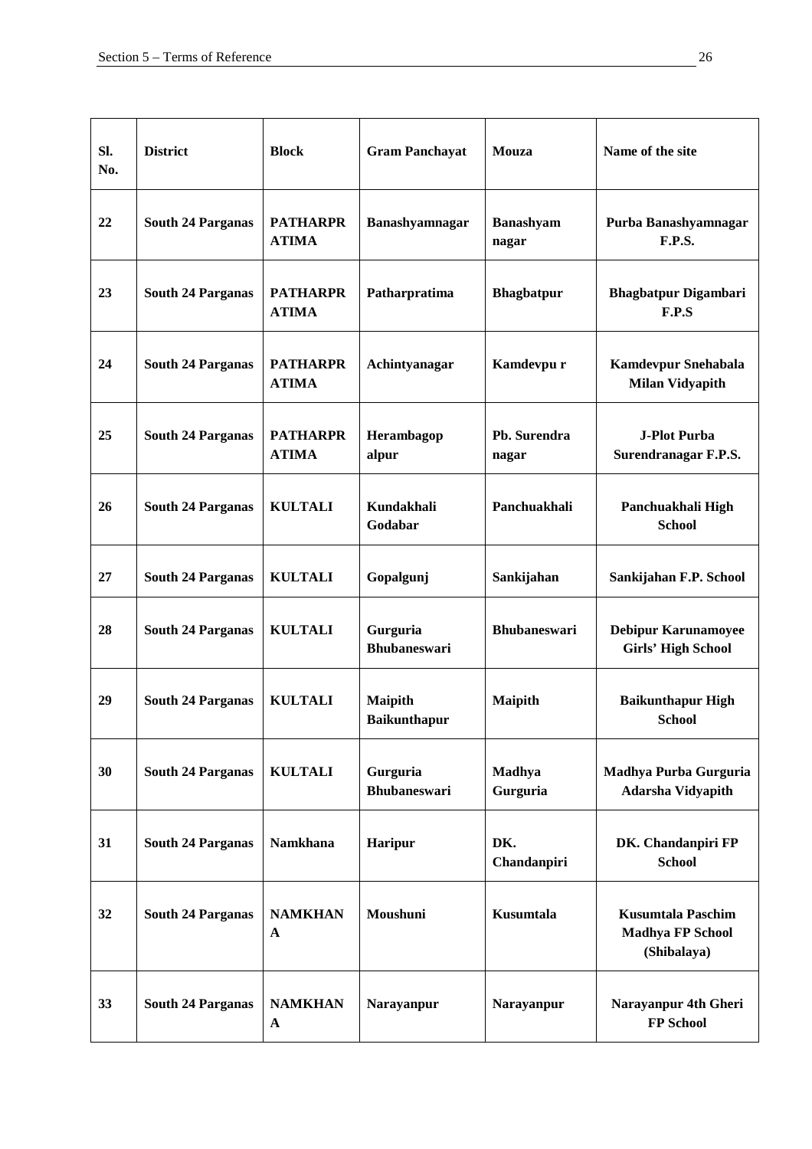| SI.<br>No. | <b>District</b>          | <b>Block</b>                    | <b>Gram Panchayat</b>                 | Mouza                     | Name of the site                                                   |
|------------|--------------------------|---------------------------------|---------------------------------------|---------------------------|--------------------------------------------------------------------|
| 22         | <b>South 24 Parganas</b> | <b>PATHARPR</b><br><b>ATIMA</b> | Banashyamnagar                        | <b>Banashyam</b><br>nagar | Purba Banashyamnagar<br><b>F.P.S.</b>                              |
| 23         | <b>South 24 Parganas</b> | <b>PATHARPR</b><br><b>ATIMA</b> | Patharpratima                         | <b>Bhagbatpur</b>         | <b>Bhagbatpur Digambari</b><br>F.P.S                               |
| 24         | <b>South 24 Parganas</b> | <b>PATHARPR</b><br><b>ATIMA</b> | Achintyanagar                         | Kamdevpu r                | Kamdevpur Snehabala<br><b>Milan Vidyapith</b>                      |
| 25         | <b>South 24 Parganas</b> | <b>PATHARPR</b><br><b>ATIMA</b> | Herambagop<br>alpur                   | Pb. Surendra<br>nagar     | <b>J-Plot Purba</b><br>Surendranagar F.P.S.                        |
| 26         | <b>South 24 Parganas</b> | <b>KULTALI</b>                  | Kundakhali<br>Godabar                 | Panchuakhali              | Panchuakhali High<br><b>School</b>                                 |
| 27         | <b>South 24 Parganas</b> | <b>KULTALI</b>                  | Gopalgunj                             | Sankijahan                | Sankijahan F.P. School                                             |
| 28         | <b>South 24 Parganas</b> | <b>KULTALI</b>                  | Gurguria<br><b>Bhubaneswari</b>       | <b>Bhubaneswari</b>       | <b>Debipur Karunamoyee</b><br><b>Girls' High School</b>            |
| 29         | <b>South 24 Parganas</b> | <b>KULTALI</b>                  | <b>Maipith</b><br><b>Baikunthapur</b> | <b>Maipith</b>            | <b>Baikunthapur High</b><br><b>School</b>                          |
| 30         | <b>South 24 Parganas</b> | <b>KULTALI</b>                  | Gurguria<br><b>Bhubaneswari</b>       | Madhya<br>Gurguria        | Madhya Purba Gurguria<br><b>Adarsha Vidyapith</b>                  |
| 31         | <b>South 24 Parganas</b> | Namkhana                        | Haripur                               | DK.<br>Chandanpiri        | DK. Chandanpiri FP<br><b>School</b>                                |
| 32         | <b>South 24 Parganas</b> | <b>NAMKHAN</b><br>$\mathbf{A}$  | Moushuni                              | <b>Kusumtala</b>          | <b>Kusumtala Paschim</b><br><b>Madhya FP School</b><br>(Shibalaya) |
| 33         | <b>South 24 Parganas</b> | <b>NAMKHAN</b><br>$\mathbf{A}$  | Narayanpur                            | Narayanpur                | Narayanpur 4th Gheri<br>FP School                                  |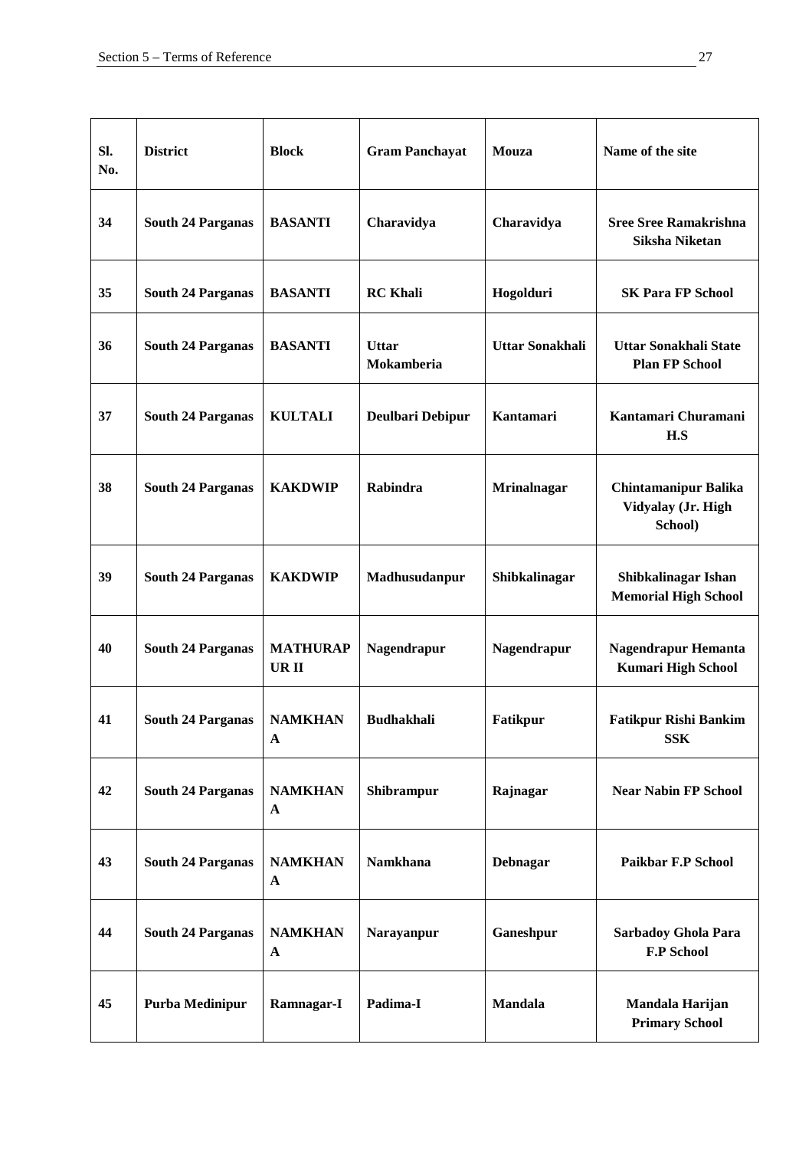| SI.<br>No. | <b>District</b>          | <b>Block</b>                   | <b>Gram Panchayat</b>      | Mouza                  | Name of the site                                             |
|------------|--------------------------|--------------------------------|----------------------------|------------------------|--------------------------------------------------------------|
| 34         | <b>South 24 Parganas</b> | <b>BASANTI</b>                 | Charavidya                 | Charavidya             | <b>Sree Sree Ramakrishna</b><br>Siksha Niketan               |
| 35         | <b>South 24 Parganas</b> | <b>BASANTI</b>                 | <b>RC</b> Khali            | Hogolduri              | <b>SK Para FP School</b>                                     |
| 36         | <b>South 24 Parganas</b> | <b>BASANTI</b>                 | <b>Uttar</b><br>Mokamberia | <b>Uttar Sonakhali</b> | <b>Uttar Sonakhali State</b><br><b>Plan FP School</b>        |
| 37         | <b>South 24 Parganas</b> | <b>KULTALI</b>                 | Deulbari Debipur           | Kantamari              | Kantamari Churamani<br>H.S                                   |
| 38         | <b>South 24 Parganas</b> | <b>KAKDWIP</b>                 | Rabindra                   | <b>Mrinalnagar</b>     | <b>Chintamanipur Balika</b><br>Vidyalay (Jr. High<br>School) |
| 39         | <b>South 24 Parganas</b> | <b>KAKDWIP</b>                 | Madhusudanpur              | Shibkalinagar          | Shibkalinagar Ishan<br><b>Memorial High School</b>           |
| 40         | <b>South 24 Parganas</b> | <b>MATHURAP</b><br>UR II       | Nagendrapur                | Nagendrapur            | Nagendrapur Hemanta<br><b>Kumari High School</b>             |
| 41         | <b>South 24 Parganas</b> | <b>NAMKHAN</b><br>$\mathbf{A}$ | <b>Budhakhali</b>          | <b>Fatikpur</b>        | <b>Fatikpur Rishi Bankim</b><br><b>SSK</b>                   |
| 42         | <b>South 24 Parganas</b> | <b>NAMKHAN</b><br>$\mathbf{A}$ | Shibrampur                 | Rajnagar               | <b>Near Nabin FP School</b>                                  |
| 43         | <b>South 24 Parganas</b> | <b>NAMKHAN</b><br>$\mathbf A$  | Namkhana                   | Debnagar               | <b>Paikbar F.P School</b>                                    |
| 44         | <b>South 24 Parganas</b> | <b>NAMKHAN</b><br>$\mathbf{A}$ | Narayanpur                 | Ganeshpur              | Sarbadoy Ghola Para<br><b>F.P School</b>                     |
| 45         | Purba Medinipur          | Ramnagar-I                     | Padima-I                   | <b>Mandala</b>         | Mandala Harijan<br><b>Primary School</b>                     |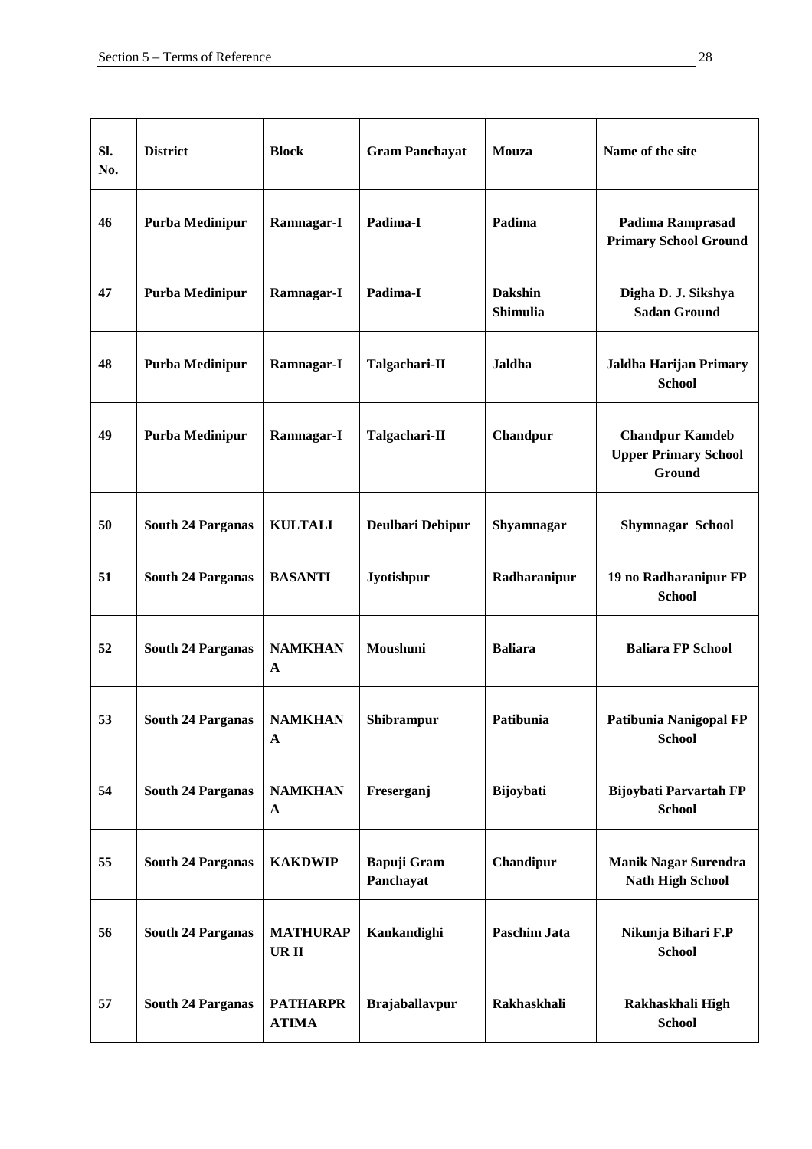| SI.<br>No. | <b>District</b>          | <b>Block</b>                    | <b>Gram Panchayat</b>           | Mouza                             | Name of the site                                                |
|------------|--------------------------|---------------------------------|---------------------------------|-----------------------------------|-----------------------------------------------------------------|
| 46         | <b>Purba Medinipur</b>   | Ramnagar-I                      | Padima-I                        | Padima                            | Padima Ramprasad<br><b>Primary School Ground</b>                |
| 47         | Purba Medinipur          | Ramnagar-I                      | Padima-I                        | <b>Dakshin</b><br><b>Shimulia</b> | Digha D. J. Sikshya<br><b>Sadan Ground</b>                      |
| 48         | <b>Purba Medinipur</b>   | Ramnagar-I                      | Talgachari-II                   | Jaldha                            | Jaldha Harijan Primary<br><b>School</b>                         |
| 49         | Purba Medinipur          | Ramnagar-I                      | Talgachari-II                   | Chandpur                          | <b>Chandpur Kamdeb</b><br><b>Upper Primary School</b><br>Ground |
| 50         | <b>South 24 Parganas</b> | <b>KULTALI</b>                  | Deulbari Debipur                | Shyamnagar                        | <b>Shymnagar School</b>                                         |
| 51         | <b>South 24 Parganas</b> | <b>BASANTI</b>                  | Jyotishpur                      | Radharanipur                      | 19 no Radharanipur FP<br><b>School</b>                          |
| 52         | <b>South 24 Parganas</b> | <b>NAMKHAN</b><br>$\mathbf{A}$  | Moushuni                        | <b>Baliara</b>                    | <b>Baliara FP School</b>                                        |
| 53         | <b>South 24 Parganas</b> | <b>NAMKHAN</b><br>$\mathbf{A}$  | Shibrampur                      | Patibunia                         | Patibunia Nanigopal FP<br><b>School</b>                         |
| 54         | <b>South 24 Parganas</b> | <b>NAMKHAN</b><br>$\mathbf{A}$  | Freserganj                      | Bijoybati                         | <b>Bijoybati Parvartah FP</b><br><b>School</b>                  |
| 55         | <b>South 24 Parganas</b> | <b>KAKDWIP</b>                  | <b>Bapuji Gram</b><br>Panchayat | Chandipur                         | <b>Manik Nagar Surendra</b><br><b>Nath High School</b>          |
| 56         | <b>South 24 Parganas</b> | <b>MATHURAP</b><br>UR II        | Kankandighi                     | Paschim Jata                      | Nikunja Bihari F.P<br><b>School</b>                             |
| 57         | <b>South 24 Parganas</b> | <b>PATHARPR</b><br><b>ATIMA</b> | <b>Brajaballavpur</b>           | Rakhaskhali                       | Rakhaskhali High<br><b>School</b>                               |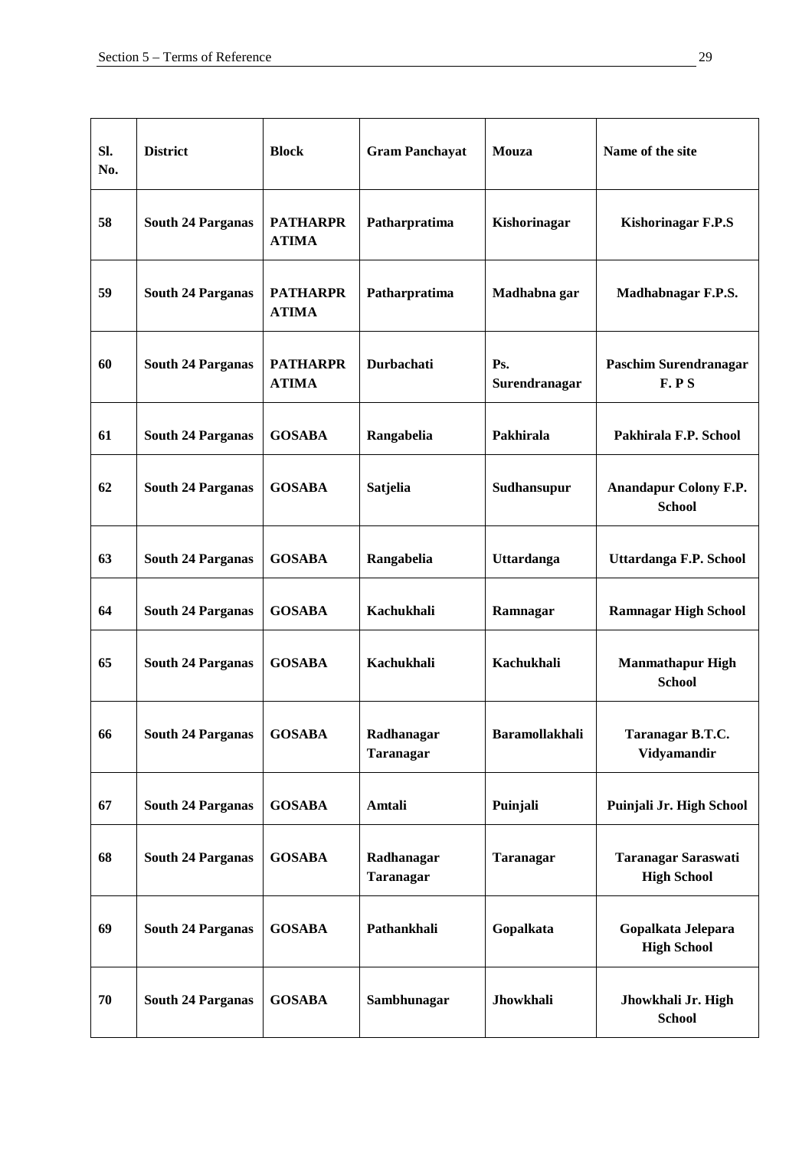| SI.<br>No. | <b>District</b>          | <b>Block</b>                    | <b>Gram Panchayat</b>   | Mouza                             | Name of the site                                 |
|------------|--------------------------|---------------------------------|-------------------------|-----------------------------------|--------------------------------------------------|
| 58         | <b>South 24 Parganas</b> | <b>PATHARPR</b><br><b>ATIMA</b> | Patharpratima           | Kishorinagar                      | <b>Kishorinagar F.P.S</b>                        |
| 59         | <b>South 24 Parganas</b> | <b>PATHARPR</b><br><b>ATIMA</b> | Patharpratima           | Madhabna gar                      | Madhabnagar F.P.S.                               |
| 60         | <b>South 24 Parganas</b> | <b>PATHARPR</b><br><b>ATIMA</b> | Durbachati              | P <sub>S</sub> .<br>Surendranagar | <b>Paschim Surendranagar</b><br>F.P.S            |
| 61         | <b>South 24 Parganas</b> | <b>GOSABA</b>                   | Rangabelia              | Pakhirala                         | Pakhirala F.P. School                            |
| 62         | <b>South 24 Parganas</b> | <b>GOSABA</b>                   | Satjelia                | Sudhansupur                       | <b>Anandapur Colony F.P.</b><br><b>School</b>    |
| 63         | <b>South 24 Parganas</b> | <b>GOSABA</b>                   | Rangabelia              | Uttardanga                        | Uttardanga F.P. School                           |
| 64         | <b>South 24 Parganas</b> | <b>GOSABA</b>                   | Kachukhali              | Ramnagar                          | <b>Ramnagar High School</b>                      |
| 65         | <b>South 24 Parganas</b> | <b>GOSABA</b>                   | Kachukhali              | Kachukhali                        | <b>Manmathapur High</b><br><b>School</b>         |
| 66         | <b>South 24 Parganas</b> | <b>GOSABA</b>                   | Radhanagar<br>Taranagar | <b>Baramollakhali</b>             | Taranagar B.T.C.<br>Vidyamandir                  |
| 67         | <b>South 24 Parganas</b> | <b>GOSABA</b>                   | Amtali                  | Puinjali                          | Puinjali Jr. High School                         |
| 68         | <b>South 24 Parganas</b> | <b>GOSABA</b>                   | Radhanagar<br>Taranagar | <b>Taranagar</b>                  | <b>Taranagar Saraswati</b><br><b>High School</b> |
| 69         | <b>South 24 Parganas</b> | <b>GOSABA</b>                   | Pathankhali             | Gopalkata                         | Gopalkata Jelepara<br><b>High School</b>         |
| 70         | <b>South 24 Parganas</b> | <b>GOSABA</b>                   | Sambhunagar             | Jhowkhali                         | Jhowkhali Jr. High<br><b>School</b>              |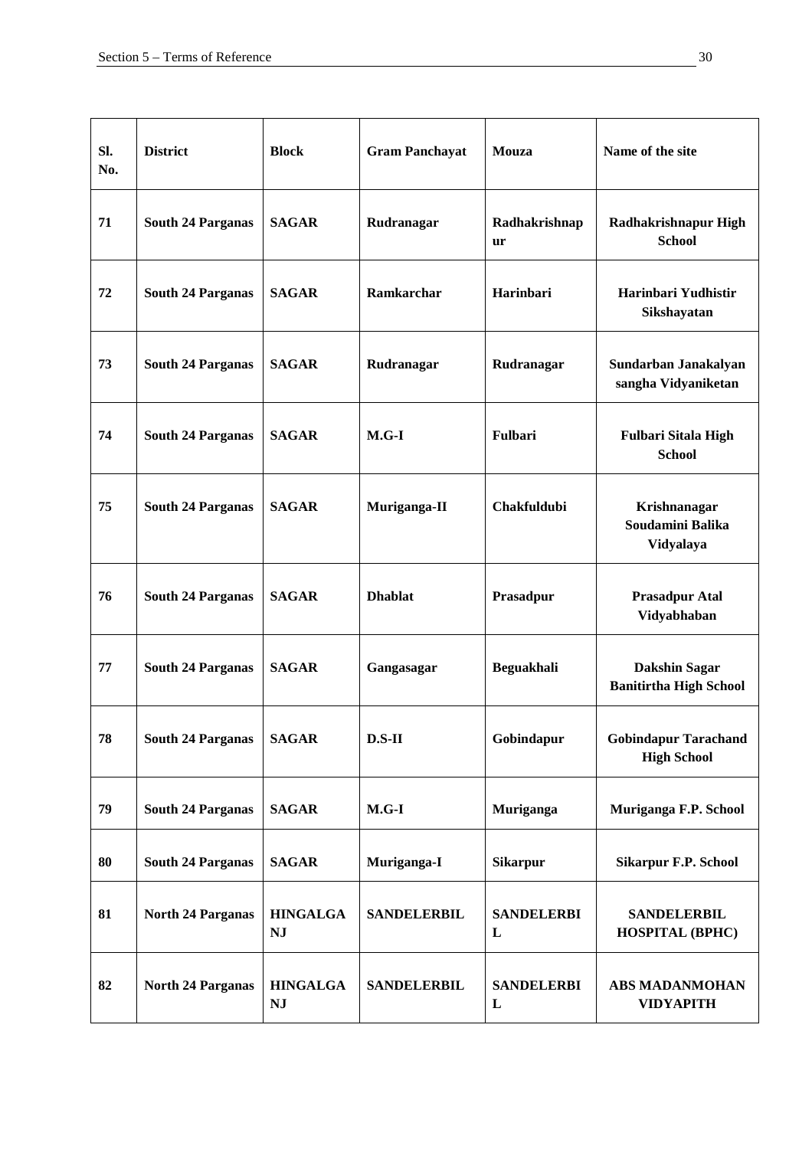| SI.<br>No. | <b>District</b>          | <b>Block</b>                 | <b>Gram Panchayat</b> | <b>Mouza</b>               | Name of the site                                      |
|------------|--------------------------|------------------------------|-----------------------|----------------------------|-------------------------------------------------------|
| 71         | <b>South 24 Parganas</b> | <b>SAGAR</b>                 | Rudranagar            | Radhakrishnap<br><b>ur</b> | Radhakrishnapur High<br><b>School</b>                 |
| 72         | <b>South 24 Parganas</b> | <b>SAGAR</b>                 | <b>Ramkarchar</b>     | Harinbari                  | Harinbari Yudhistir<br>Sikshayatan                    |
| 73         | <b>South 24 Parganas</b> | <b>SAGAR</b>                 | Rudranagar            | Rudranagar                 | Sundarban Janakalyan<br>sangha Vidyaniketan           |
| 74         | <b>South 24 Parganas</b> | <b>SAGAR</b>                 | $M.G-I$               | Fulbari                    | <b>Fulbari Sitala High</b><br><b>School</b>           |
| 75         | <b>South 24 Parganas</b> | <b>SAGAR</b>                 | Muriganga-II          | Chakfuldubi                | Krishnanagar<br>Soudamini Balika<br>Vidyalaya         |
| 76         | <b>South 24 Parganas</b> | <b>SAGAR</b>                 | <b>Dhablat</b>        | Prasadpur                  | <b>Prasadpur Atal</b><br>Vidyabhaban                  |
| 77         | <b>South 24 Parganas</b> | <b>SAGAR</b>                 | Gangasagar            | Beguakhali                 | <b>Dakshin Sagar</b><br><b>Banitirtha High School</b> |
| 78         | <b>South 24 Parganas</b> | <b>SAGAR</b>                 | $D.S-II$              | Gobindapur                 | <b>Gobindapur Tarachand</b><br><b>High School</b>     |
| 79         | <b>South 24 Parganas</b> | <b>SAGAR</b>                 | $M.G-I$               | Muriganga                  | Muriganga F.P. School                                 |
| 80         | <b>South 24 Parganas</b> | <b>SAGAR</b>                 | Muriganga-I           | <b>Sikarpur</b>            | <b>Sikarpur F.P. School</b>                           |
| 81         | <b>North 24 Parganas</b> | <b>HINGALGA</b><br><b>NJ</b> | <b>SANDELERBIL</b>    | <b>SANDELERBI</b><br>L     | <b>SANDELERBIL</b><br><b>HOSPITAL (BPHC)</b>          |
| 82         | <b>North 24 Parganas</b> | <b>HINGALGA</b><br><b>NJ</b> | <b>SANDELERBIL</b>    | <b>SANDELERBI</b><br>L     | ABS MADANMOHAN<br><b>VIDYAPITH</b>                    |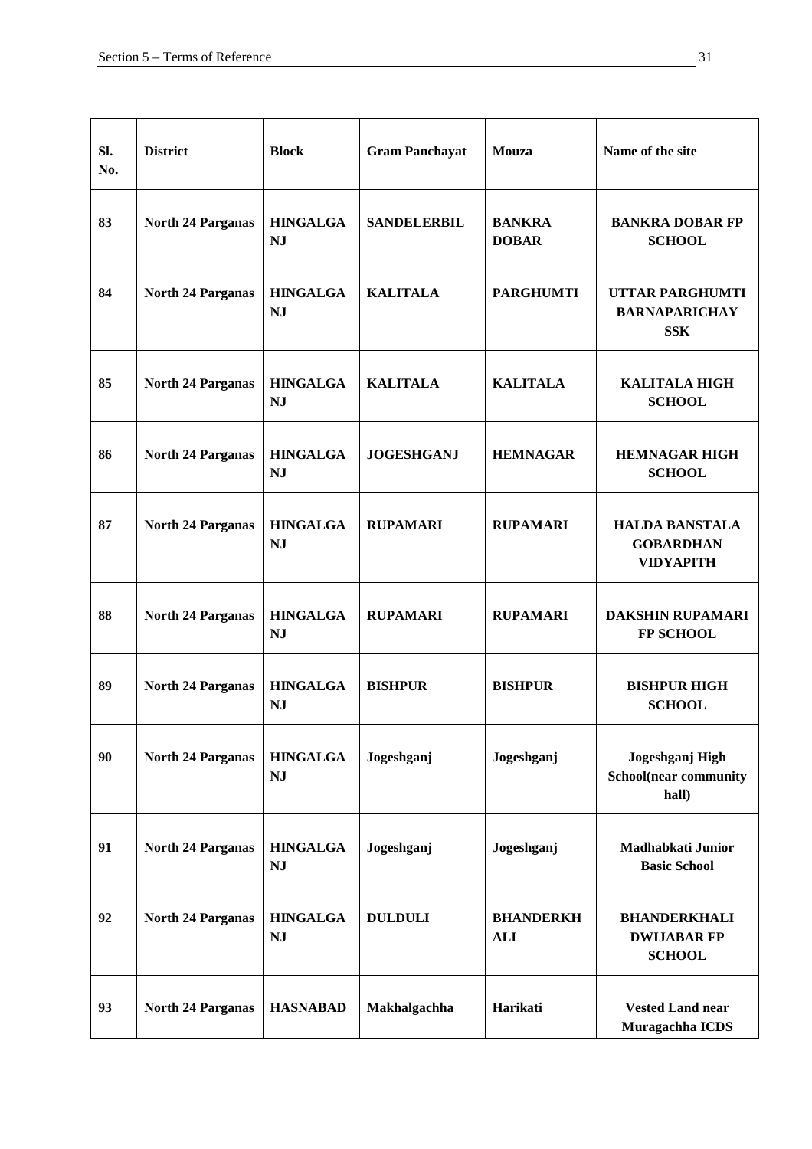| SI.<br>No. | <b>District</b>          | <b>Block</b>                 | <b>Gram Panchayat</b> | Mouza                          | Name of the site                                              |
|------------|--------------------------|------------------------------|-----------------------|--------------------------------|---------------------------------------------------------------|
| 83         | <b>North 24 Parganas</b> | <b>HINGALGA</b><br><b>NJ</b> | <b>SANDELERBIL</b>    | <b>BANKRA</b><br><b>DOBAR</b>  | <b>BANKRA DOBAR FP</b><br><b>SCHOOL</b>                       |
| 84         | <b>North 24 Parganas</b> | <b>HINGALGA</b><br><b>NJ</b> | <b>KALITALA</b>       | <b>PARGHUMTI</b>               | <b>UTTAR PARGHUMTI</b><br><b>BARNAPARICHAY</b><br><b>SSK</b>  |
| 85         | <b>North 24 Parganas</b> | <b>HINGALGA</b><br><b>NJ</b> | <b>KALITALA</b>       | <b>KALITALA</b>                | <b>KALITALA HIGH</b><br><b>SCHOOL</b>                         |
| 86         | <b>North 24 Parganas</b> | <b>HINGALGA</b><br><b>NJ</b> | <b>JOGESHGANJ</b>     | <b>HEMNAGAR</b>                | <b>HEMNAGAR HIGH</b><br><b>SCHOOL</b>                         |
| 87         | <b>North 24 Parganas</b> | <b>HINGALGA</b><br><b>NJ</b> | <b>RUPAMARI</b>       | <b>RUPAMARI</b>                | <b>HALDA BANSTALA</b><br><b>GOBARDHAN</b><br><b>VIDYAPITH</b> |
| 88         | <b>North 24 Parganas</b> | <b>HINGALGA</b><br><b>NJ</b> | <b>RUPAMARI</b>       | <b>RUPAMARI</b>                | <b>DAKSHIN RUPAMARI</b><br><b>FP SCHOOL</b>                   |
| 89         | <b>North 24 Parganas</b> | <b>HINGALGA</b><br><b>NJ</b> | <b>BISHPUR</b>        | <b>BISHPUR</b>                 | <b>BISHPUR HIGH</b><br><b>SCHOOL</b>                          |
| 90         | <b>North 24 Parganas</b> | <b>HINGALGA</b><br><b>NJ</b> | Jogeshganj            | Jogeshganj                     | Jogeshganj High<br><b>School(near community</b><br>hall)      |
| 91         | <b>North 24 Parganas</b> | <b>HINGALGA</b><br><b>NJ</b> | Jogeshganj            | Jogeshganj                     | Madhabkati Junior<br><b>Basic School</b>                      |
| 92         | <b>North 24 Parganas</b> | <b>HINGALGA</b><br><b>NJ</b> | <b>DULDULI</b>        | <b>BHANDERKH</b><br><b>ALI</b> | <b>BHANDERKHALI</b><br><b>DWIJABAR FP</b><br><b>SCHOOL</b>    |
| 93         | <b>North 24 Parganas</b> | <b>HASNABAD</b>              | Makhalgachha          | Harikati                       | <b>Vested Land near</b><br>Muragachha ICDS                    |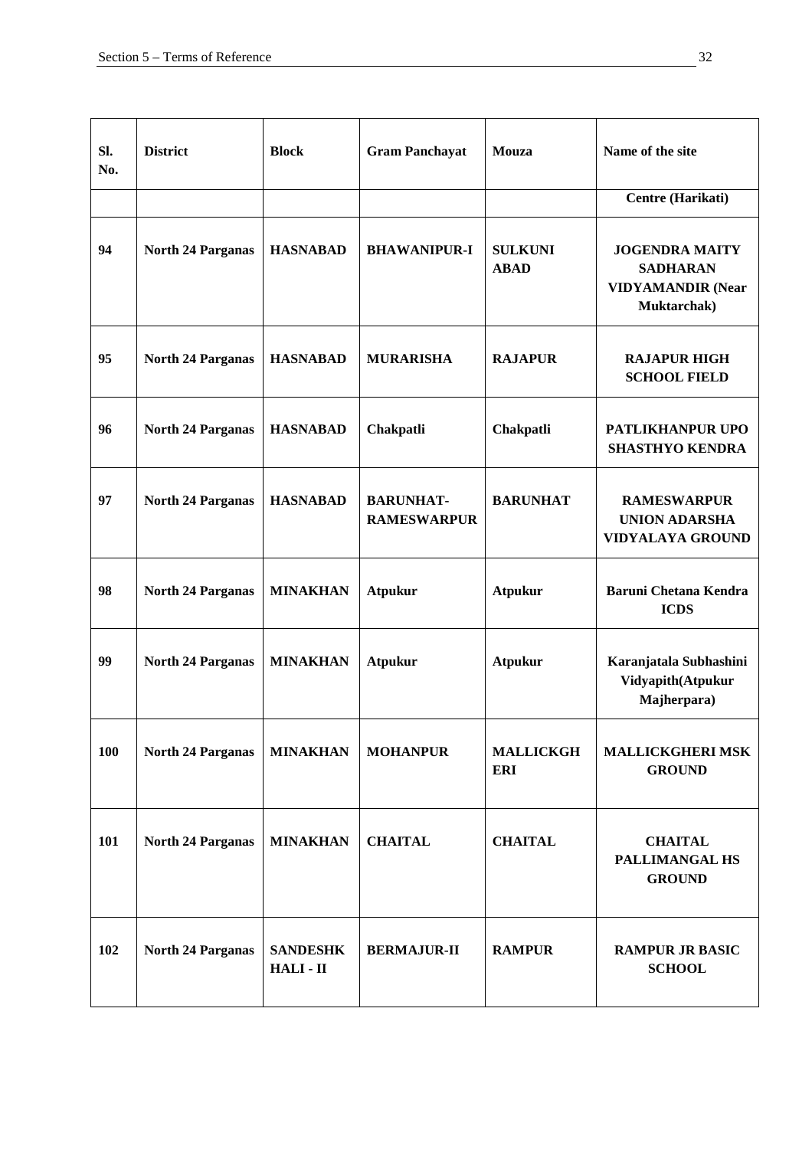| SI.<br>No. | <b>District</b>          | <b>Block</b>               | <b>Gram Panchayat</b>                  | Mouza                          | Name of the site                                                                    |
|------------|--------------------------|----------------------------|----------------------------------------|--------------------------------|-------------------------------------------------------------------------------------|
|            |                          |                            |                                        |                                | Centre (Harikati)                                                                   |
| 94         | <b>North 24 Parganas</b> | <b>HASNABAD</b>            | <b>BHAWANIPUR-I</b>                    | <b>SULKUNI</b><br><b>ABAD</b>  | <b>JOGENDRA MAITY</b><br><b>SADHARAN</b><br><b>VIDYAMANDIR (Near</b><br>Muktarchak) |
| 95         | <b>North 24 Parganas</b> | <b>HASNABAD</b>            | <b>MURARISHA</b>                       | <b>RAJAPUR</b>                 | <b>RAJAPUR HIGH</b><br><b>SCHOOL FIELD</b>                                          |
| 96         | <b>North 24 Parganas</b> | <b>HASNABAD</b>            | Chakpatli                              | Chakpatli                      | PATLIKHANPUR UPO<br><b>SHASTHYO KENDRA</b>                                          |
| 97         | <b>North 24 Parganas</b> | <b>HASNABAD</b>            | <b>BARUNHAT-</b><br><b>RAMESWARPUR</b> | <b>BARUNHAT</b>                | <b>RAMESWARPUR</b><br><b>UNION ADARSHA</b><br><b>VIDYALAYA GROUND</b>               |
| 98         | <b>North 24 Parganas</b> | <b>MINAKHAN</b>            | <b>Atpukur</b>                         | <b>Atpukur</b>                 | <b>Baruni Chetana Kendra</b><br><b>ICDS</b>                                         |
| 99         | <b>North 24 Parganas</b> | <b>MINAKHAN</b>            | <b>Atpukur</b>                         | <b>Atpukur</b>                 | Karanjatala Subhashini<br>Vidyapith(Atpukur<br>Majherpara)                          |
| 100        | <b>North 24 Parganas</b> | <b>MINAKHAN</b>            | <b>MOHANPUR</b>                        | <b>MALLICKGH</b><br><b>ERI</b> | <b>MALLICKGHERI MSK</b><br><b>GROUND</b>                                            |
| 101        | <b>North 24 Parganas</b> | <b>MINAKHAN</b>            | <b>CHAITAL</b>                         | <b>CHAITAL</b>                 | <b>CHAITAL</b><br>PALLIMANGAL HS<br><b>GROUND</b>                                   |
| 102        | <b>North 24 Parganas</b> | <b>SANDESHK</b><br>HALI-II | <b>BERMAJUR-II</b>                     | <b>RAMPUR</b>                  | <b>RAMPUR JR BASIC</b><br><b>SCHOOL</b>                                             |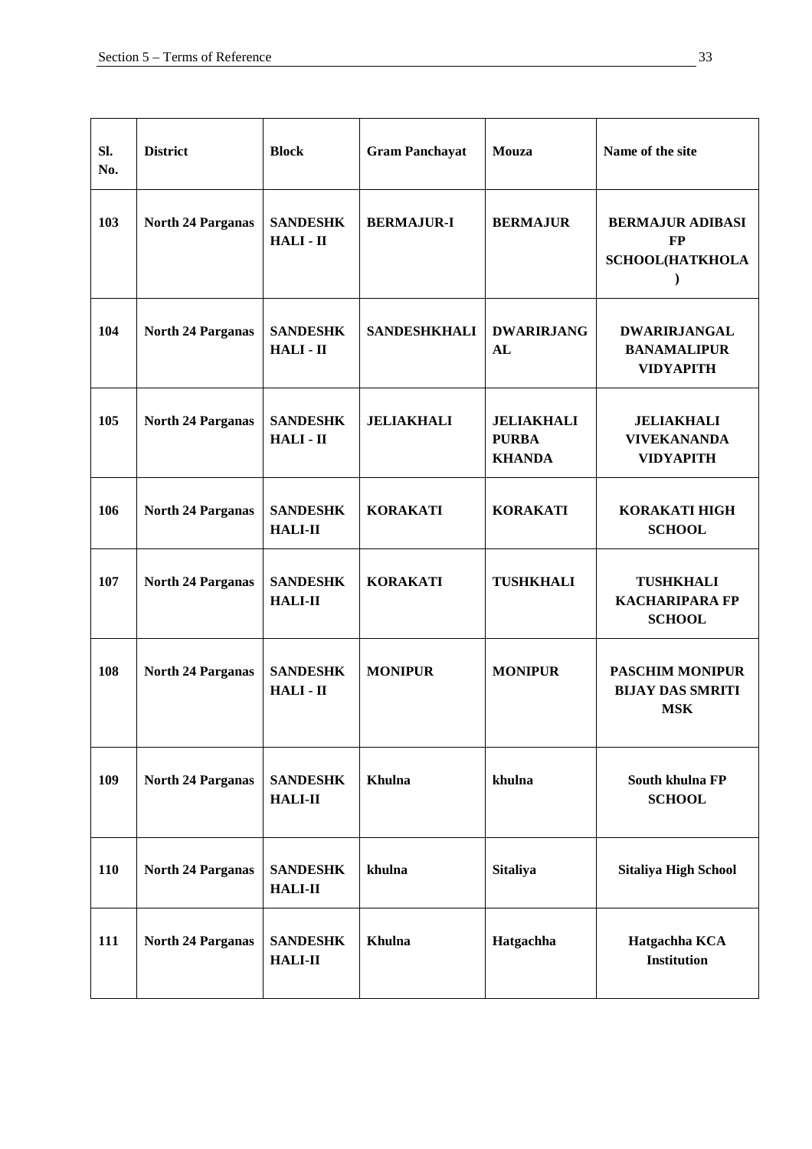| Sl.<br>No. | <b>District</b>          | <b>Block</b>                      | <b>Gram Panchayat</b> | Mouza                                              | Name of the site                                                |
|------------|--------------------------|-----------------------------------|-----------------------|----------------------------------------------------|-----------------------------------------------------------------|
| 103        | <b>North 24 Parganas</b> | <b>SANDESHK</b><br>HALI-II        | <b>BERMAJUR-I</b>     | <b>BERMAJUR</b>                                    | <b>BERMAJUR ADIBASI</b><br><b>FP</b><br><b>SCHOOL(HATKHOLA</b>  |
| 104        | <b>North 24 Parganas</b> | <b>SANDESHK</b><br>HALI-II        | <b>SANDESHKHALI</b>   | <b>DWARIRJANG</b><br>AL                            | <b>DWARIRJANGAL</b><br><b>BANAMALIPUR</b><br><b>VIDYAPITH</b>   |
| 105        | <b>North 24 Parganas</b> | <b>SANDESHK</b><br>HALI-II        | <b>JELIAKHALI</b>     | <b>JELIAKHALI</b><br><b>PURBA</b><br><b>KHANDA</b> | <b>JELIAKHALI</b><br><b>VIVEKANANDA</b><br><b>VIDYAPITH</b>     |
| 106        | <b>North 24 Parganas</b> | <b>SANDESHK</b><br><b>HALI-II</b> | <b>KORAKATI</b>       | <b>KORAKATI</b>                                    | <b>KORAKATI HIGH</b><br><b>SCHOOL</b>                           |
| 107        | <b>North 24 Parganas</b> | <b>SANDESHK</b><br><b>HALI-II</b> | <b>KORAKATI</b>       | <b>TUSHKHALI</b>                                   | <b>TUSHKHALI</b><br><b>KACHARIPARA FP</b><br><b>SCHOOL</b>      |
| 108        | <b>North 24 Parganas</b> | <b>SANDESHK</b><br>HALI-II        | <b>MONIPUR</b>        | <b>MONIPUR</b>                                     | <b>PASCHIM MONIPUR</b><br><b>BIJAY DAS SMRITI</b><br><b>MSK</b> |
| 109        | <b>North 24 Parganas</b> | <b>SANDESHK</b><br><b>HALI-II</b> | <b>Khulna</b>         | khulna                                             | South khulna FP<br><b>SCHOOL</b>                                |
| 110        | <b>North 24 Parganas</b> | <b>SANDESHK</b><br><b>HALI-II</b> | khulna                | <b>Sitaliya</b>                                    | <b>Sitaliya High School</b>                                     |
| 111        | <b>North 24 Parganas</b> | <b>SANDESHK</b><br><b>HALI-II</b> | Khulna                | Hatgachha                                          | Hatgachha KCA<br><b>Institution</b>                             |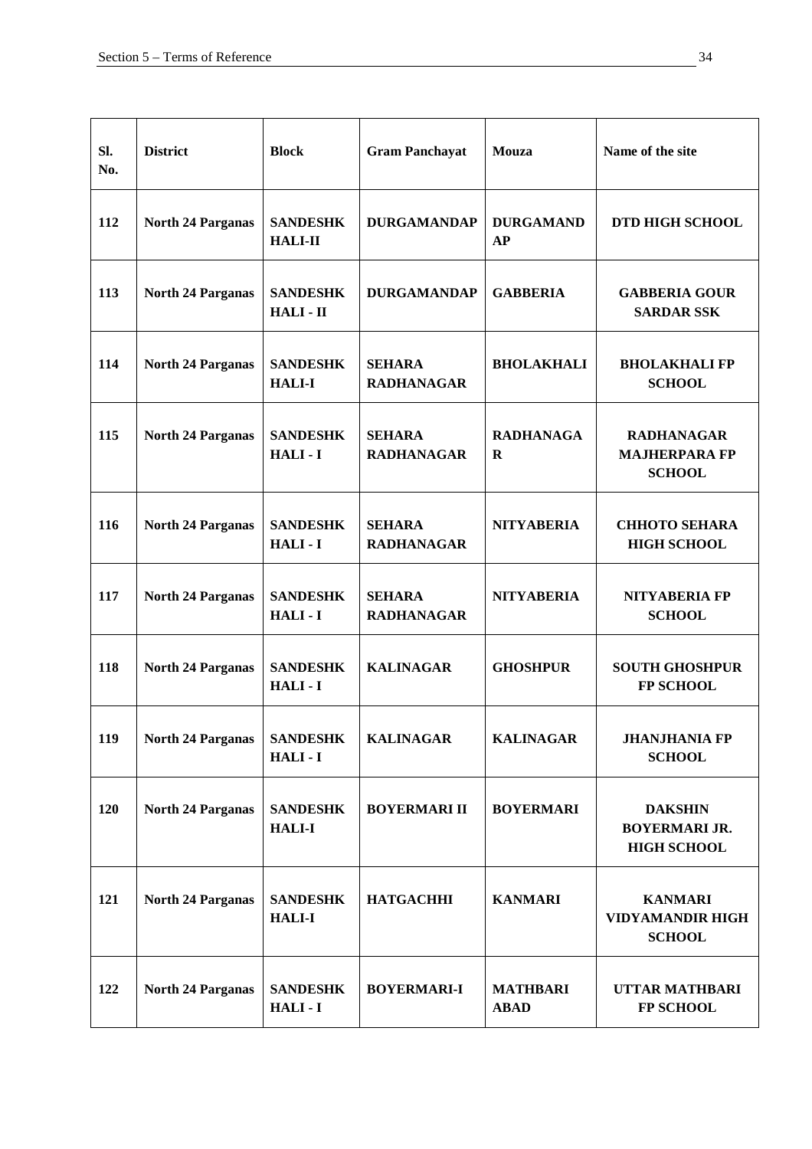| SI.<br>No. | <b>District</b>          | <b>Block</b>                      | <b>Gram Panchayat</b>              | Mouza                          | Name of the site                                             |
|------------|--------------------------|-----------------------------------|------------------------------------|--------------------------------|--------------------------------------------------------------|
| 112        | <b>North 24 Parganas</b> | <b>SANDESHK</b><br><b>HALI-II</b> | <b>DURGAMANDAP</b>                 | <b>DURGAMAND</b><br>AP         | <b>DTD HIGH SCHOOL</b>                                       |
| 113        | <b>North 24 Parganas</b> | <b>SANDESHK</b><br>HALI-II        | <b>DURGAMANDAP</b>                 | <b>GABBERIA</b>                | <b>GABBERIA GOUR</b><br><b>SARDAR SSK</b>                    |
| 114        | <b>North 24 Parganas</b> | <b>SANDESHK</b><br><b>HALI-I</b>  | <b>SEHARA</b><br><b>RADHANAGAR</b> | <b>BHOLAKHALI</b>              | <b>BHOLAKHALI FP</b><br><b>SCHOOL</b>                        |
| 115        | <b>North 24 Parganas</b> | <b>SANDESHK</b><br>HALI-I         | <b>SEHARA</b><br><b>RADHANAGAR</b> | <b>RADHANAGA</b><br>$\bf{R}$   | <b>RADHANAGAR</b><br><b>MAJHERPARA FP</b><br><b>SCHOOL</b>   |
| 116        | <b>North 24 Parganas</b> | <b>SANDESHK</b><br>HALI-I         | <b>SEHARA</b><br><b>RADHANAGAR</b> | <b>NITYABERIA</b>              | <b>CHHOTO SEHARA</b><br><b>HIGH SCHOOL</b>                   |
| 117        | <b>North 24 Parganas</b> | <b>SANDESHK</b><br>HALI-I         | <b>SEHARA</b><br><b>RADHANAGAR</b> | <b>NITYABERIA</b>              | NITYABERIA FP<br><b>SCHOOL</b>                               |
| 118        | <b>North 24 Parganas</b> | <b>SANDESHK</b><br>HALI-I         | <b>KALINAGAR</b>                   | <b>GHOSHPUR</b>                | <b>SOUTH GHOSHPUR</b><br><b>FP SCHOOL</b>                    |
| 119        | <b>North 24 Parganas</b> | <b>SANDESHK</b><br>HALI-I         | <b>KALINAGAR</b>                   | <b>KALINAGAR</b>               | <b>JHANJHANIA FP</b><br><b>SCHOOL</b>                        |
| 120        | <b>North 24 Parganas</b> | <b>SANDESHK</b><br><b>HALI-I</b>  | <b>BOYERMARI II</b>                | <b>BOYERMARI</b>               | <b>DAKSHIN</b><br><b>BOYERMARI JR.</b><br><b>HIGH SCHOOL</b> |
| 121        | <b>North 24 Parganas</b> | <b>SANDESHK</b><br><b>HALI-I</b>  | <b>HATGACHHI</b>                   | <b>KANMARI</b>                 | <b>KANMARI</b><br><b>VIDYAMANDIR HIGH</b><br><b>SCHOOL</b>   |
| 122        | <b>North 24 Parganas</b> | <b>SANDESHK</b><br>HALI-I         | <b>BOYERMARI-I</b>                 | <b>MATHBARI</b><br><b>ABAD</b> | <b>UTTAR MATHBARI</b><br>FP SCHOOL                           |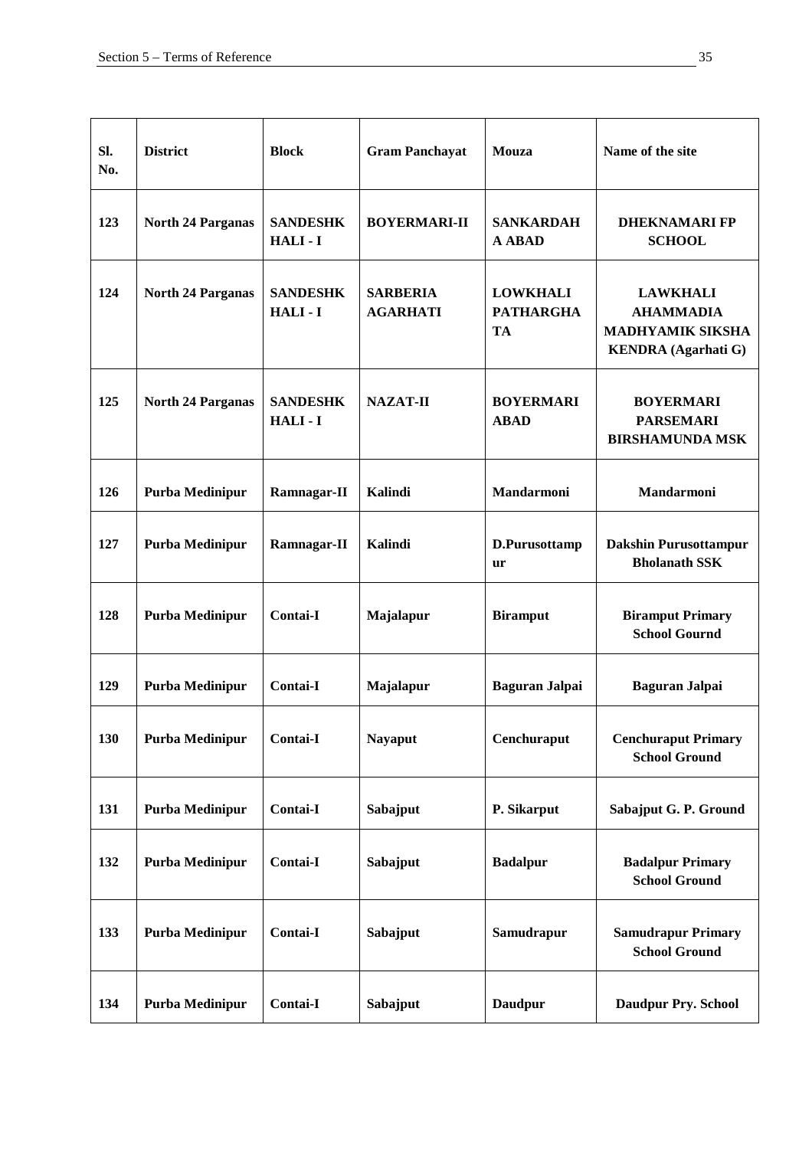| SI.<br>No. | <b>District</b>          | <b>Block</b>              | <b>Gram Panchayat</b>              | Mouza                                            | Name of the site                                                                             |
|------------|--------------------------|---------------------------|------------------------------------|--------------------------------------------------|----------------------------------------------------------------------------------------------|
| 123        | <b>North 24 Parganas</b> | <b>SANDESHK</b><br>HALI-I | <b>BOYERMARI-II</b>                | <b>SANKARDAH</b><br><b>A ABAD</b>                | <b>DHEKNAMARI FP</b><br><b>SCHOOL</b>                                                        |
| 124        | <b>North 24 Parganas</b> | <b>SANDESHK</b><br>HALI-I | <b>SARBERIA</b><br><b>AGARHATI</b> | <b>LOWKHALI</b><br><b>PATHARGHA</b><br><b>TA</b> | <b>LAWKHALI</b><br><b>AHAMMADIA</b><br><b>MADHYAMIK SIKSHA</b><br><b>KENDRA</b> (Agarhati G) |
| 125        | <b>North 24 Parganas</b> | <b>SANDESHK</b><br>HALI-I | <b>NAZAT-II</b>                    | <b>BOYERMARI</b><br><b>ABAD</b>                  | <b>BOYERMARI</b><br><b>PARSEMARI</b><br><b>BIRSHAMUNDA MSK</b>                               |
| 126        | Purba Medinipur          | Ramnagar-II               | <b>Kalindi</b>                     | <b>Mandarmoni</b>                                | <b>Mandarmoni</b>                                                                            |
| 127        | Purba Medinipur          | Ramnagar-II               | <b>Kalindi</b>                     | D.Purusottamp<br><b>ur</b>                       | <b>Dakshin Purusottampur</b><br><b>Bholanath SSK</b>                                         |
| 128        | Purba Medinipur          | Contai-I                  | Majalapur                          | <b>Biramput</b>                                  | <b>Biramput Primary</b><br><b>School Gournd</b>                                              |
| 129        | Purba Medinipur          | Contai-I                  | Majalapur                          | <b>Baguran Jalpai</b>                            | <b>Baguran Jalpai</b>                                                                        |
| 130        | Purba Medinipur          | <b>Contai-I</b>           | <b>Nayaput</b>                     | Cenchuraput                                      | <b>Cenchuraput Primary</b><br><b>School Ground</b>                                           |
| 131        | Purba Medinipur          | <b>Contai-I</b>           | Sabajput                           | P. Sikarput                                      | Sabajput G. P. Ground                                                                        |
| 132        | Purba Medinipur          | <b>Contai-I</b>           | Sabajput                           | <b>Badalpur</b>                                  | <b>Badalpur Primary</b><br><b>School Ground</b>                                              |
| 133        | Purba Medinipur          | Contai-I                  | Sabajput                           | Samudrapur                                       | <b>Samudrapur Primary</b><br><b>School Ground</b>                                            |
| 134        | Purba Medinipur          | <b>Contai-I</b>           | Sabajput                           | <b>Daudpur</b>                                   | <b>Daudpur Pry. School</b>                                                                   |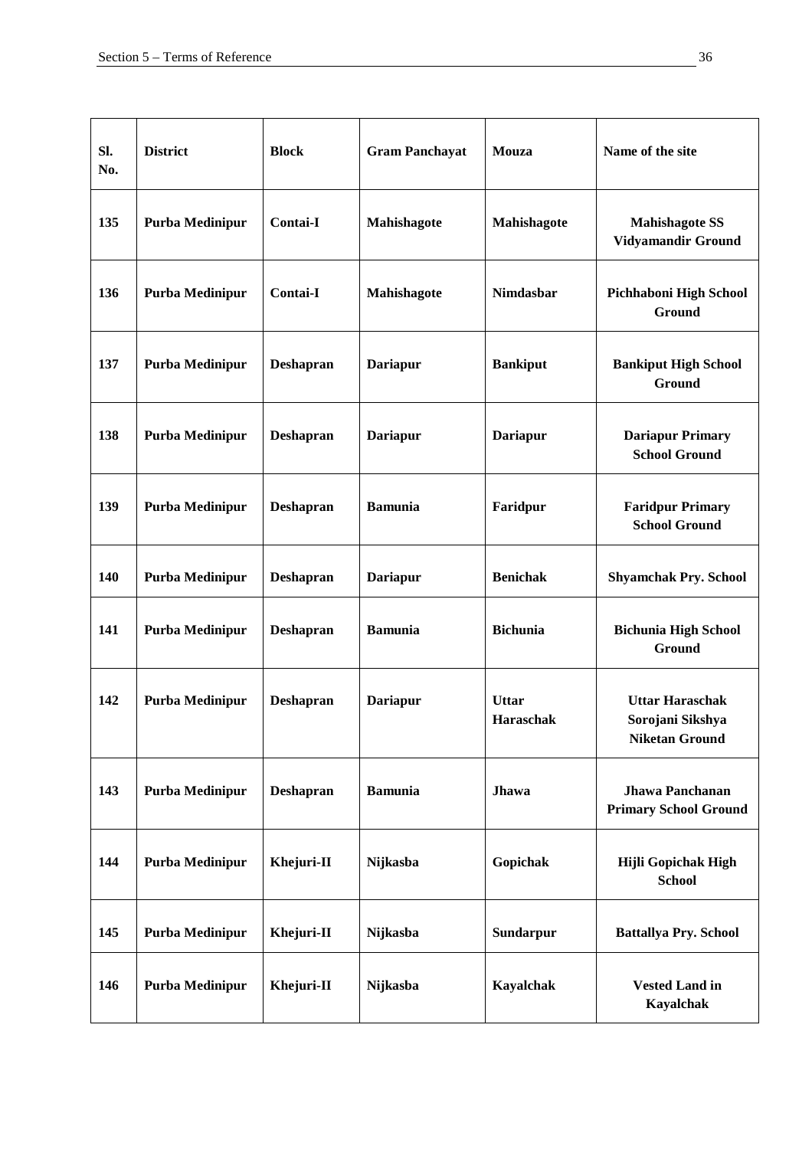| SI.<br>No. | <b>District</b> | <b>Block</b>     | <b>Gram Panchayat</b> | Mouza                     | Name of the site                                                    |
|------------|-----------------|------------------|-----------------------|---------------------------|---------------------------------------------------------------------|
| 135        | Purba Medinipur | Contai-I         | Mahishagote           | Mahishagote               | <b>Mahishagote SS</b><br>Vidyamandir Ground                         |
| 136        | Purba Medinipur | Contai-I         | Mahishagote           | <b>Nimdasbar</b>          | Pichhaboni High School<br>Ground                                    |
| 137        | Purba Medinipur | <b>Deshapran</b> | <b>Dariapur</b>       | <b>Bankiput</b>           | <b>Bankiput High School</b><br>Ground                               |
| 138        | Purba Medinipur | <b>Deshapran</b> | <b>Dariapur</b>       | <b>Dariapur</b>           | <b>Dariapur Primary</b><br><b>School Ground</b>                     |
| 139        | Purba Medinipur | <b>Deshapran</b> | <b>Bamunia</b>        | Faridpur                  | <b>Faridpur Primary</b><br><b>School Ground</b>                     |
| 140        | Purba Medinipur | <b>Deshapran</b> | <b>Dariapur</b>       | <b>Benichak</b>           | <b>Shyamchak Pry. School</b>                                        |
| 141        | Purba Medinipur | <b>Deshapran</b> | <b>Bamunia</b>        | <b>Bichunia</b>           | <b>Bichunia High School</b><br>Ground                               |
| 142        | Purba Medinipur | Deshapran        | <b>Dariapur</b>       | <b>Uttar</b><br>Haraschak | <b>Uttar Haraschak</b><br>Sorojani Sikshya<br><b>Niketan Ground</b> |
| 143        | Purba Medinipur | <b>Deshapran</b> | <b>Bamunia</b>        | Jhawa                     | <b>Jhawa Panchanan</b><br><b>Primary School Ground</b>              |
| 144        | Purba Medinipur | Khejuri-II       | Nijkasba              | Gopichak                  | Hijli Gopichak High<br><b>School</b>                                |
| 145        | Purba Medinipur | Khejuri-II       | Nijkasba              | Sundarpur                 | <b>Battallya Pry. School</b>                                        |
| 146        | Purba Medinipur | Khejuri-II       | Nijkasba              | Kayalchak                 | <b>Vested Land in</b><br>Kayalchak                                  |